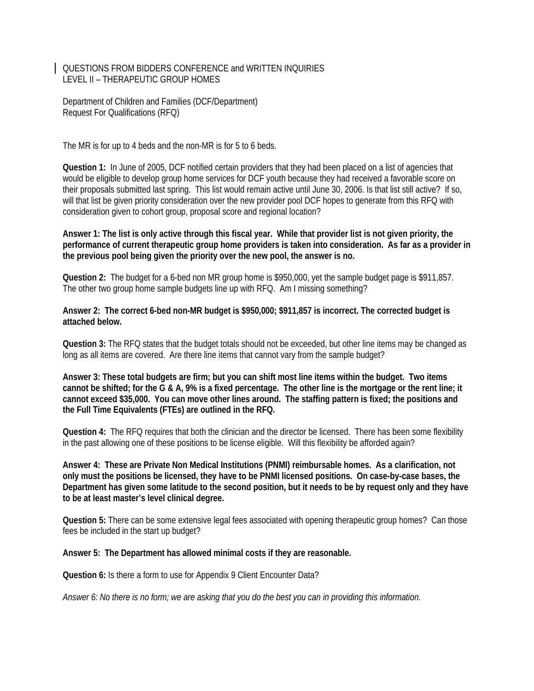QUESTIONS FROM BIDDERS CONFERENCE and WRITTEN INQUIRIES LEVEL II – THERAPEUTIC GROUP HOMES

Department of Children and Families (DCF/Department) Request For Qualifications (RFQ)

The MR is for up to 4 beds and the non-MR is for 5 to 6 beds.

**Question 1:** In June of 2005, DCF notified certain providers that they had been placed on a list of agencies that would be eligible to develop group home services for DCF youth because they had received a favorable score on their proposals submitted last spring. This list would remain active until June 30, 2006. Is that list still active? If so, will that list be given priority consideration over the new provider pool DCF hopes to generate from this RFQ with consideration given to cohort group, proposal score and regional location?

**Answer 1: The list is only active through this fiscal year. While that provider list is not given priority, the performance of current therapeutic group home providers is taken into consideration. As far as a provider in the previous pool being given the priority over the new pool, the answer is no.** 

**Question 2:** The budget for a 6-bed non MR group home is \$950,000, yet the sample budget page is \$911,857. The other two group home sample budgets line up with RFQ. Am I missing something?

**Answer 2: The correct 6-bed non-MR budget is \$950,000; \$911,857 is incorrect. The corrected budget is attached below.** 

**Question 3:** The RFQ states that the budget totals should not be exceeded, but other line items may be changed as long as all items are covered. Are there line items that cannot vary from the sample budget?

**Answer 3: These total budgets are firm; but you can shift most line items within the budget. Two items cannot be shifted; for the G & A, 9% is a fixed percentage. The other line is the mortgage or the rent line; it cannot exceed \$35,000. You can move other lines around. The staffing pattern is fixed; the positions and the Full Time Equivalents (FTEs) are outlined in the RFQ.** 

**Question 4:** The RFQ requires that both the clinician and the director be licensed. There has been some flexibility in the past allowing one of these positions to be license eligible. Will this flexibility be afforded again?

**Answer 4: These are Private Non Medical Institutions (PNMI) reimbursable homes. As a clarification, not only must the positions be licensed, they have to be PNMI licensed positions. On case-by-case bases, the Department has given some latitude to the second position, but it needs to be by request only and they have to be at least master's level clinical degree.** 

**Question 5:** There can be some extensive legal fees associated with opening therapeutic group homes? Can those fees be included in the start up budget?

**Answer 5: The Department has allowed minimal costs if they are reasonable.** 

**Question 6:** Is there a form to use for Appendix 9 Client Encounter Data?

*Answer 6: No there is no form; we are asking that you do the best you can in providing this information.*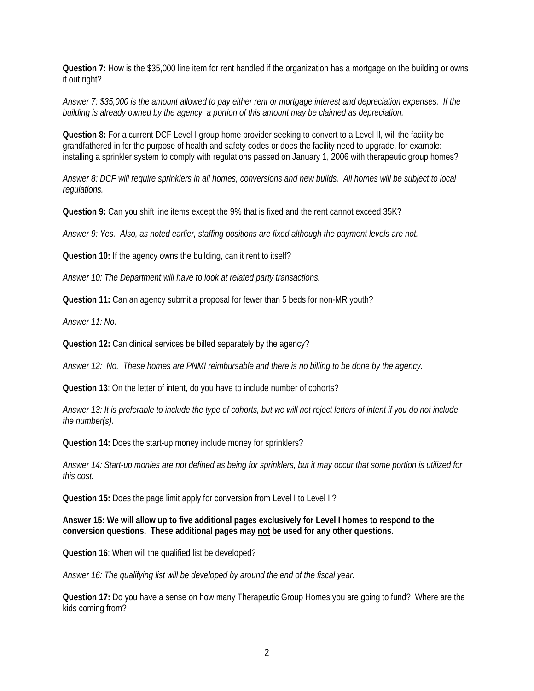**Question 7:** How is the \$35,000 line item for rent handled if the organization has a mortgage on the building or owns it out right?

*Answer 7: \$35,000 is the amount allowed to pay either rent or mortgage interest and depreciation expenses. If the building is already owned by the agency, a portion of this amount may be claimed as depreciation.* 

**Question 8:** For a current DCF Level I group home provider seeking to convert to a Level II, will the facility be grandfathered in for the purpose of health and safety codes or does the facility need to upgrade, for example: installing a sprinkler system to comply with regulations passed on January 1, 2006 with therapeutic group homes?

*Answer 8: DCF will require sprinklers in all homes, conversions and new builds. All homes will be subject to local regulations.* 

**Question 9:** Can you shift line items except the 9% that is fixed and the rent cannot exceed 35K?

*Answer 9: Yes. Also, as noted earlier, staffing positions are fixed although the payment levels are not.* 

**Question 10:** If the agency owns the building, can it rent to itself?

*Answer 10: The Department will have to look at related party transactions.* 

**Question 11:** Can an agency submit a proposal for fewer than 5 beds for non-MR youth?

*Answer 11: No.* 

**Question 12:** Can clinical services be billed separately by the agency?

*Answer 12: No. These homes are PNMI reimbursable and there is no billing to be done by the agency.* 

**Question 13**: On the letter of intent, do you have to include number of cohorts?

*Answer 13: It is preferable to include the type of cohorts, but we will not reject letters of intent if you do not include the number(s).* 

**Question 14:** Does the start-up money include money for sprinklers?

*Answer 14: Start-up monies are not defined as being for sprinklers, but it may occur that some portion is utilized for this cost.* 

**Question 15:** Does the page limit apply for conversion from Level I to Level II?

**Answer 15: We will allow up to five additional pages exclusively for Level I homes to respond to the conversion questions. These additional pages may not be used for any other questions.** 

**Question 16**: When will the qualified list be developed?

*Answer 16: The qualifying list will be developed by around the end of the fiscal year.* 

**Question 17:** Do you have a sense on how many Therapeutic Group Homes you are going to fund? Where are the kids coming from?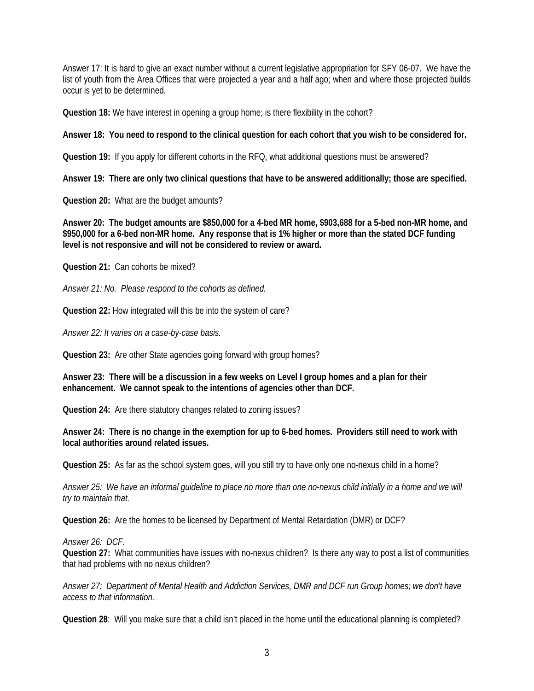Answer 17: It is hard to give an exact number without a current legislative appropriation for SFY 06-07. We have the list of youth from the Area Offices that were projected a year and a half ago; when and where those projected builds occur is yet to be determined.

**Question 18:** We have interest in opening a group home; is there flexibility in the cohort?

**Answer 18: You need to respond to the clinical question for each cohort that you wish to be considered for.** 

**Question 19:** If you apply for different cohorts in the RFQ, what additional questions must be answered?

**Answer 19: There are only two clinical questions that have to be answered additionally; those are specified.** 

**Question 20:** What are the budget amounts?

**Answer 20: The budget amounts are \$850,000 for a 4-bed MR home, \$903,688 for a 5-bed non-MR home, and \$950,000 for a 6-bed non-MR home. Any response that is 1% higher or more than the stated DCF funding level is not responsive and will not be considered to review or award.** 

**Question 21:** Can cohorts be mixed?

*Answer 21: No. Please respond to the cohorts as defined.* 

**Question 22:** How integrated will this be into the system of care?

*Answer 22: It varies on a case-by-case basis.* 

**Question 23:** Are other State agencies going forward with group homes?

**Answer 23: There will be a discussion in a few weeks on Level I group homes and a plan for their enhancement. We cannot speak to the intentions of agencies other than DCF.** 

**Question 24:** Are there statutory changes related to zoning issues?

**Answer 24: There is no change in the exemption for up to 6-bed homes. Providers still need to work with local authorities around related issues.** 

**Question 25:** As far as the school system goes, will you still try to have only one no-nexus child in a home?

*Answer 25: We have an informal guideline to place no more than one no-nexus child initially in a home and we will try to maintain that.* 

**Question 26:** Are the homes to be licensed by Department of Mental Retardation (DMR) or DCF?

*Answer 26: DCF.* 

**Question 27:** What communities have issues with no-nexus children? Is there any way to post a list of communities that had problems with no nexus children?

*Answer 27: Department of Mental Health and Addiction Services, DMR and DCF run Group homes; we don't have access to that information.* 

**Question 28**: Will you make sure that a child isn't placed in the home until the educational planning is completed?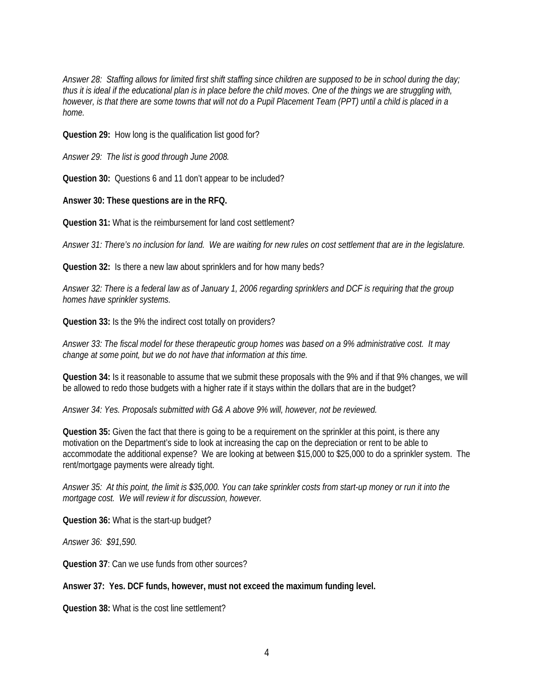*Answer 28: Staffing allows for limited first shift staffing since children are supposed to be in school during the day; thus it is ideal if the educational plan is in place before the child moves. One of the things we are struggling with, however, is that there are some towns that will not do a Pupil Placement Team (PPT) until a child is placed in a home.* 

**Question 29:** How long is the qualification list good for?

*Answer 29: The list is good through June 2008.* 

**Question 30:** Questions 6 and 11 don't appear to be included?

**Answer 30: These questions are in the RFQ.**

**Question 31:** What is the reimbursement for land cost settlement?

*Answer 31: There's no inclusion for land. We are waiting for new rules on cost settlement that are in the legislature.* 

**Question 32:** Is there a new law about sprinklers and for how many beds?

*Answer 32: There is a federal law as of January 1, 2006 regarding sprinklers and DCF is requiring that the group homes have sprinkler systems.* 

**Question 33:** Is the 9% the indirect cost totally on providers?

*Answer 33: The fiscal model for these therapeutic group homes was based on a 9% administrative cost. It may change at some point, but we do not have that information at this time.* 

**Question 34:** Is it reasonable to assume that we submit these proposals with the 9% and if that 9% changes, we will be allowed to redo those budgets with a higher rate if it stays within the dollars that are in the budget?

*Answer 34: Yes. Proposals submitted with G& A above 9% will, however, not be reviewed.* 

**Question 35:** Given the fact that there is going to be a requirement on the sprinkler at this point, is there any motivation on the Department's side to look at increasing the cap on the depreciation or rent to be able to accommodate the additional expense? We are looking at between \$15,000 to \$25,000 to do a sprinkler system. The rent/mortgage payments were already tight.

*Answer 35: At this point, the limit is \$35,000. You can take sprinkler costs from start-up money or run it into the mortgage cost. We will review it for discussion, however.* 

**Question 36:** What is the start-up budget?

*Answer 36: \$91,590.* 

**Question 37**: Can we use funds from other sources?

#### **Answer 37: Yes. DCF funds, however, must not exceed the maximum funding level.**

**Question 38:** What is the cost line settlement?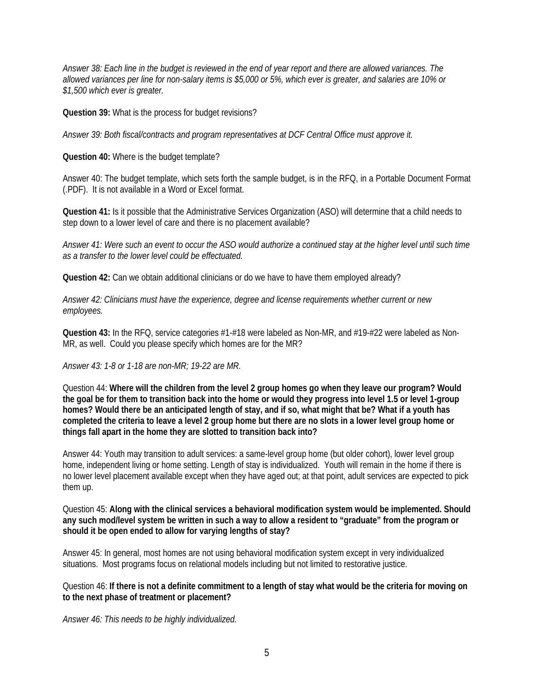*Answer 38: Each line in the budget is reviewed in the end of year report and there are allowed variances. The allowed variances per line for non-salary items is \$5,000 or 5%, which ever is greater, and salaries are 10% or \$1,500 which ever is greater.* 

**Question 39:** What is the process for budget revisions?

*Answer 39: Both fiscal/contracts and program representatives at DCF Central Office must approve it.* 

**Question 40:** Where is the budget template?

Answer 40: The budget template, which sets forth the sample budget, is in the RFQ, in a Portable Document Format (.PDF). It is not available in a Word or Excel format.

**Question 41:** Is it possible that the Administrative Services Organization (ASO) will determine that a child needs to step down to a lower level of care and there is no placement available?

*Answer 41: Were such an event to occur the ASO would authorize a continued stay at the higher level until such time as a transfer to the lower level could be effectuated.* 

**Question 42:** Can we obtain additional clinicians or do we have to have them employed already?

*Answer 42: Clinicians must have the experience, degree and license requirements whether current or new employees.* 

**Question 43:** In the RFQ, service categories #1-#18 were labeled as Non-MR, and #19-#22 were labeled as Non-MR, as well. Could you please specify which homes are for the MR?

*Answer 43: 1-8 or 1-18 are non-MR; 19-22 are MR.* 

Question 44: **Where will the children from the level 2 group homes go when they leave our program? Would the goal be for them to transition back into the home or would they progress into level 1.5 or level 1-group homes? Would there be an anticipated length of stay, and if so, what might that be? What if a youth has completed the criteria to leave a level 2 group home but there are no slots in a lower level group home or things fall apart in the home they are slotted to transition back into?** 

Answer 44: Youth may transition to adult services: a same-level group home (but older cohort), lower level group home, independent living or home setting. Length of stay is individualized. Youth will remain in the home if there is no lower level placement available except when they have aged out; at that point, adult services are expected to pick them up.

Question 45: **Along with the clinical services a behavioral modification system would be implemented. Should any such mod/level system be written in such a way to allow a resident to "graduate" from the program or should it be open ended to allow for varying lengths of stay?** 

Answer 45: In general, most homes are not using behavioral modification system except in very individualized situations. Most programs focus on relational models including but not limited to restorative justice.

Question 46: **If there is not a definite commitment to a length of stay what would be the criteria for moving on to the next phase of treatment or placement?** 

*Answer 46: This needs to be highly individualized.*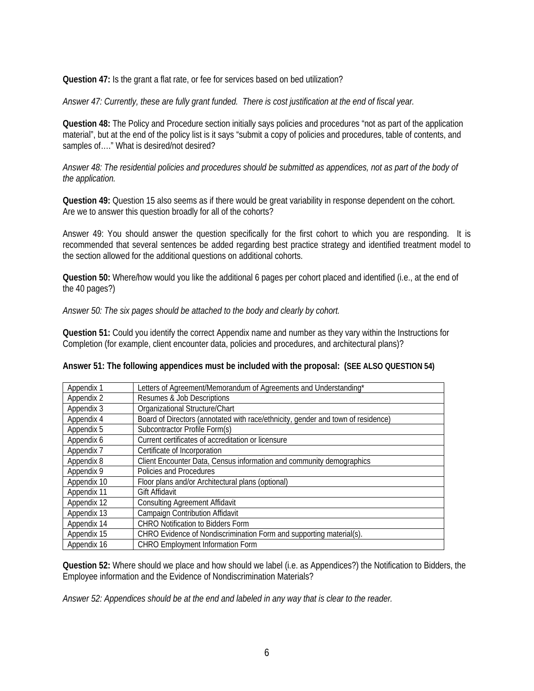**Question 47:** Is the grant a flat rate, or fee for services based on bed utilization?

*Answer 47: Currently, these are fully grant funded. There is cost justification at the end of fiscal year.* 

**Question 48:** The Policy and Procedure section initially says policies and procedures "not as part of the application material", but at the end of the policy list is it says "submit a copy of policies and procedures, table of contents, and samples of…." What is desired/not desired?

*Answer 48: The residential policies and procedures should be submitted as appendices, not as part of the body of the application.* 

**Question 49:** Question 15 also seems as if there would be great variability in response dependent on the cohort. Are we to answer this question broadly for all of the cohorts?

Answer 49: You should answer the question specifically for the first cohort to which you are responding. It is recommended that several sentences be added regarding best practice strategy and identified treatment model to the section allowed for the additional questions on additional cohorts.

**Question 50:** Where/how would you like the additional 6 pages per cohort placed and identified (i.e., at the end of the 40 pages?)

#### *Answer 50: The six pages should be attached to the body and clearly by cohort.*

**Question 51:** Could you identify the correct Appendix name and number as they vary within the Instructions for Completion (for example, client encounter data, policies and procedures, and architectural plans)?

| Answer 51: The following appendices must be included with the proposal: (SEE ALSO QUESTION 54) |  |  |
|------------------------------------------------------------------------------------------------|--|--|
|                                                                                                |  |  |

| Appendix 1  | Letters of Agreement/Memorandum of Agreements and Understanding*                 |
|-------------|----------------------------------------------------------------------------------|
| Appendix 2  | Resumes & Job Descriptions                                                       |
| Appendix 3  | Organizational Structure/Chart                                                   |
| Appendix 4  | Board of Directors (annotated with race/ethnicity, gender and town of residence) |
| Appendix 5  | Subcontractor Profile Form(s)                                                    |
| Appendix 6  | Current certificates of accreditation or licensure                               |
| Appendix 7  | Certificate of Incorporation                                                     |
| Appendix 8  | Client Encounter Data, Census information and community demographics             |
| Appendix 9  | Policies and Procedures                                                          |
| Appendix 10 | Floor plans and/or Architectural plans (optional)                                |
| Appendix 11 | Gift Affidavit                                                                   |
| Appendix 12 | <b>Consulting Agreement Affidavit</b>                                            |
| Appendix 13 | <b>Campaign Contribution Affidavit</b>                                           |
| Appendix 14 | <b>CHRO Notification to Bidders Form</b>                                         |
| Appendix 15 | CHRO Evidence of Nondiscrimination Form and supporting material(s).              |
| Appendix 16 | <b>CHRO Employment Information Form</b>                                          |

**Question 52:** Where should we place and how should we label (i.e. as Appendices?) the Notification to Bidders, the Employee information and the Evidence of Nondiscrimination Materials?

*Answer 52: Appendices should be at the end and labeled in any way that is clear to the reader.*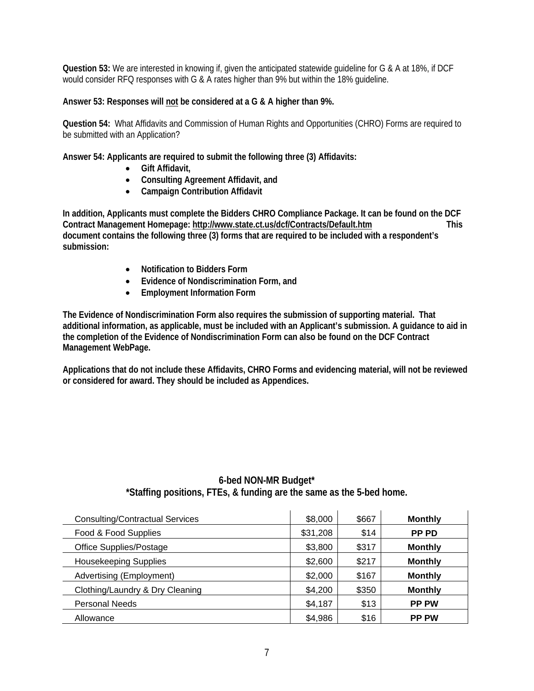**Question 53:** We are interested in knowing if, given the anticipated statewide guideline for G & A at 18%, if DCF would consider RFQ responses with G & A rates higher than 9% but within the 18% guideline.

#### **Answer 53: Responses will not be considered at a G & A higher than 9%.**

**Question 54:** What Affidavits and Commission of Human Rights and Opportunities (CHRO) Forms are required to be submitted with an Application?

**Answer 54: Applicants are required to submit the following three (3) Affidavits:** 

- **Gift Affidavit,**
- **Consulting Agreement Affidavit, and**
- **Campaign Contribution Affidavit**

**In addition, Applicants must complete the Bidders CHRO Compliance Package. It can be found on the DCF Contract Management Homepage: http://www.state.ct.us/dcf/Contracts/Default.htm This document contains the following three (3) forms that are required to be included with a respondent's submission:** 

- **Notification to Bidders Form**
- **Evidence of Nondiscrimination Form, and**
- **Employment Information Form**

**The Evidence of Nondiscrimination Form also requires the submission of supporting material. That additional information, as applicable, must be included with an Applicant's submission. A guidance to aid in the completion of the Evidence of Nondiscrimination Form can also be found on the DCF Contract Management WebPage.** 

**Applications that do not include these Affidavits, CHRO Forms and evidencing material, will not be reviewed or considered for award. They should be included as Appendices.** 

| <b>Consulting/Contractual Services</b> | \$8,000  | \$667 | <b>Monthly</b> |
|----------------------------------------|----------|-------|----------------|
| Food & Food Supplies                   | \$31,208 | \$14  | PP PD          |
| Office Supplies/Postage                | \$3,800  | \$317 | <b>Monthly</b> |
| <b>Housekeeping Supplies</b>           | \$2,600  | \$217 | <b>Monthly</b> |
| Advertising (Employment)               | \$2,000  | \$167 | <b>Monthly</b> |
| Clothing/Laundry & Dry Cleaning        | \$4,200  | \$350 | <b>Monthly</b> |
| <b>Personal Needs</b>                  | \$4,187  | \$13  | <b>PP PW</b>   |
|                                        |          |       |                |

#### **6-bed NON-MR Budget\* \*Staffing positions, FTEs, & funding are the same as the 5-bed home.**

Allowance \$4,986 \$16 **PP PW**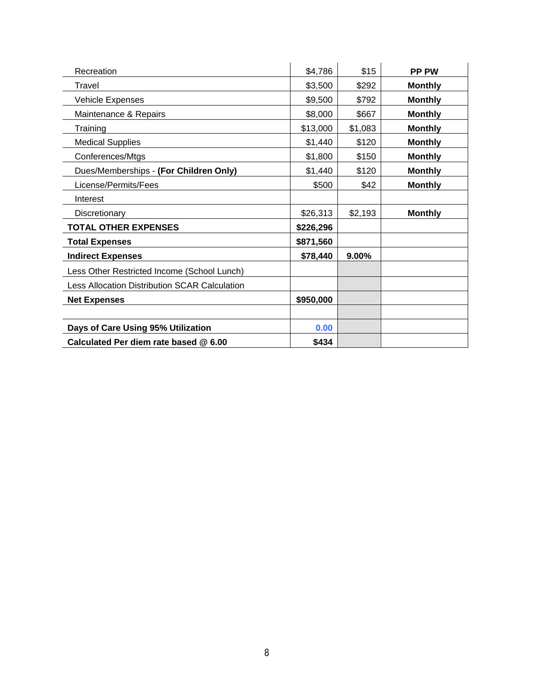| Recreation                                           | \$4,786   | \$15    | <b>PP PW</b>   |
|------------------------------------------------------|-----------|---------|----------------|
| Travel                                               | \$3,500   | \$292   | <b>Monthly</b> |
| <b>Vehicle Expenses</b>                              | \$9,500   | \$792   | <b>Monthly</b> |
| Maintenance & Repairs                                | \$8,000   | \$667   | <b>Monthly</b> |
| Training                                             | \$13,000  | \$1,083 | <b>Monthly</b> |
| <b>Medical Supplies</b>                              | \$1,440   | \$120   | <b>Monthly</b> |
| Conferences/Mtgs                                     | \$1,800   | \$150   | <b>Monthly</b> |
| Dues/Memberships - (For Children Only)               | \$1,440   | \$120   | <b>Monthly</b> |
| License/Permits/Fees                                 | \$500     | \$42    | <b>Monthly</b> |
| Interest                                             |           |         |                |
| Discretionary                                        | \$26,313  | \$2,193 | <b>Monthly</b> |
| <b>TOTAL OTHER EXPENSES</b>                          | \$226,296 |         |                |
| <b>Total Expenses</b>                                | \$871,560 |         |                |
| <b>Indirect Expenses</b>                             | \$78,440  | 9.00%   |                |
| Less Other Restricted Income (School Lunch)          |           |         |                |
| <b>Less Allocation Distribution SCAR Calculation</b> |           |         |                |
| <b>Net Expenses</b>                                  | \$950,000 |         |                |
|                                                      |           |         |                |
| Days of Care Using 95% Utilization                   | 0.00      |         |                |
| Calculated Per diem rate based @ 6.00                | \$434     |         |                |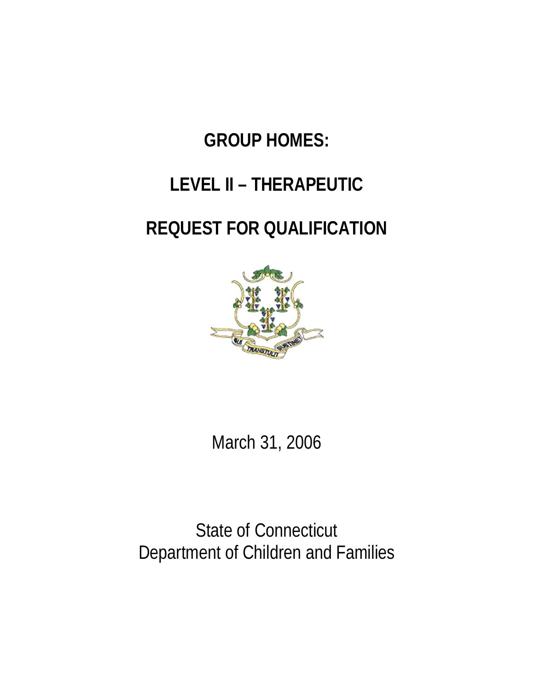# **GROUP HOMES:**

# **LEVEL II – THERAPEUTIC**

# **REQUEST FOR QUALIFICATION**



March 31, 2006

State of Connecticut Department of Children and Families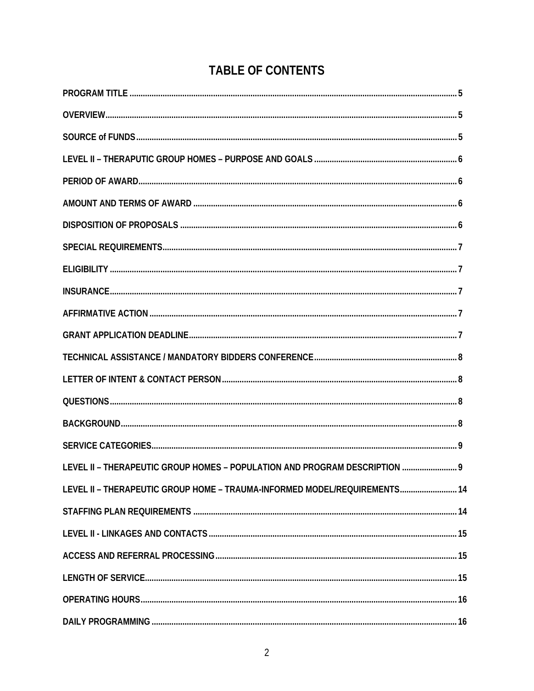## **TABLE OF CONTENTS**

| LEVEL II - THERAPEUTIC GROUP HOMES - POPULATION AND PROGRAM DESCRIPTION  9 |  |
|----------------------------------------------------------------------------|--|
| LEVEL II - THERAPEUTIC GROUP HOME - TRAUMA-INFORMED MODEL/REQUIREMENTS 14  |  |
|                                                                            |  |
|                                                                            |  |
|                                                                            |  |
|                                                                            |  |
|                                                                            |  |
|                                                                            |  |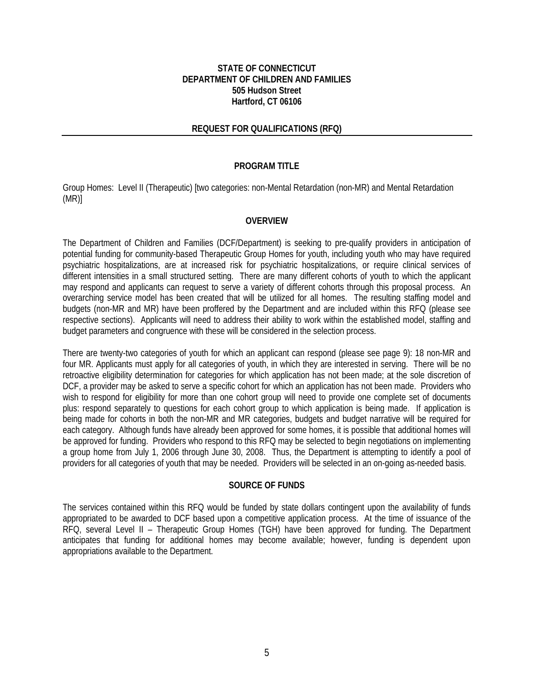#### **STATE OF CONNECTICUT DEPARTMENT OF CHILDREN AND FAMILIES 505 Hudson Street Hartford, CT 06106**

#### **REQUEST FOR QUALIFICATIONS (RFQ)**

#### **PROGRAM TITLE**

Group Homes: Level II (Therapeutic) [two categories: non-Mental Retardation (non-MR) and Mental Retardation (MR)]

#### **OVERVIEW**

The Department of Children and Families (DCF/Department) is seeking to pre-qualify providers in anticipation of potential funding for community-based Therapeutic Group Homes for youth, including youth who may have required psychiatric hospitalizations, are at increased risk for psychiatric hospitalizations, or require clinical services of different intensities in a small structured setting. There are many different cohorts of youth to which the applicant may respond and applicants can request to serve a variety of different cohorts through this proposal process. An overarching service model has been created that will be utilized for all homes. The resulting staffing model and budgets (non-MR and MR) have been proffered by the Department and are included within this RFQ (please see respective sections). Applicants will need to address their ability to work within the established model, staffing and budget parameters and congruence with these will be considered in the selection process.

There are twenty-two categories of youth for which an applicant can respond (please see page 9): 18 non-MR and four MR. Applicants must apply for all categories of youth, in which they are interested in serving. There will be no retroactive eligibility determination for categories for which application has not been made; at the sole discretion of DCF, a provider may be asked to serve a specific cohort for which an application has not been made. Providers who wish to respond for eligibility for more than one cohort group will need to provide one complete set of documents plus: respond separately to questions for each cohort group to which application is being made. If application is being made for cohorts in both the non-MR and MR categories, budgets and budget narrative will be required for each category. Although funds have already been approved for some homes, it is possible that additional homes will be approved for funding. Providers who respond to this RFQ may be selected to begin negotiations on implementing a group home from July 1, 2006 through June 30, 2008. Thus, the Department is attempting to identify a pool of providers for all categories of youth that may be needed. Providers will be selected in an on-going as-needed basis.

#### **SOURCE OF FUNDS**

The services contained within this RFQ would be funded by state dollars contingent upon the availability of funds appropriated to be awarded to DCF based upon a competitive application process. At the time of issuance of the RFQ, several Level II – Therapeutic Group Homes (TGH) have been approved for funding. The Department anticipates that funding for additional homes may become available; however, funding is dependent upon appropriations available to the Department.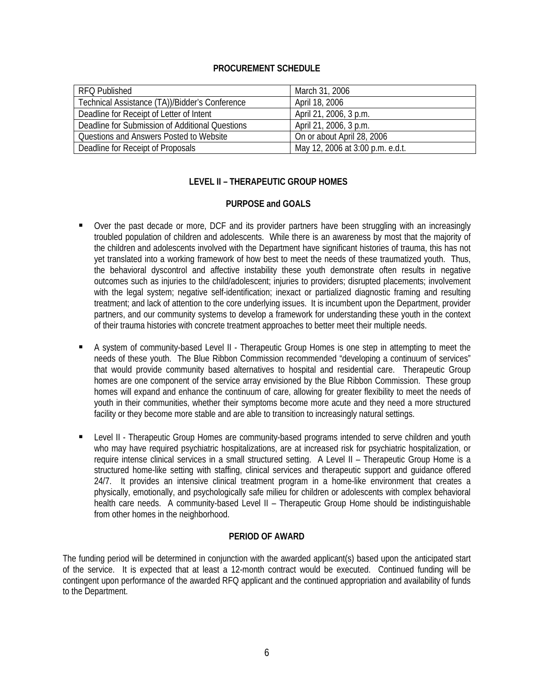#### **PROCUREMENT SCHEDULE**

| <b>RFQ Published</b>                            | March 31, 2006                   |
|-------------------------------------------------|----------------------------------|
| Technical Assistance (TA))/Bidder's Conference  | April 18, 2006                   |
| Deadline for Receipt of Letter of Intent        | April 21, 2006, 3 p.m.           |
| Deadline for Submission of Additional Questions | April 21, 2006, 3 p.m.           |
| Questions and Answers Posted to Website         | On or about April 28, 2006       |
| Deadline for Receipt of Proposals               | May 12, 2006 at 3:00 p.m. e.d.t. |

#### **LEVEL II – THERAPEUTIC GROUP HOMES**

#### **PURPOSE and GOALS**

- Over the past decade or more, DCF and its provider partners have been struggling with an increasingly troubled population of children and adolescents. While there is an awareness by most that the majority of the children and adolescents involved with the Department have significant histories of trauma, this has not yet translated into a working framework of how best to meet the needs of these traumatized youth. Thus, the behavioral dyscontrol and affective instability these youth demonstrate often results in negative outcomes such as injuries to the child/adolescent; injuries to providers; disrupted placements; involvement with the legal system; negative self-identification; inexact or partialized diagnostic framing and resulting treatment; and lack of attention to the core underlying issues. It is incumbent upon the Department, provider partners, and our community systems to develop a framework for understanding these youth in the context of their trauma histories with concrete treatment approaches to better meet their multiple needs.
- A system of community-based Level II Therapeutic Group Homes is one step in attempting to meet the needs of these youth. The Blue Ribbon Commission recommended "developing a continuum of services" that would provide community based alternatives to hospital and residential care. Therapeutic Group homes are one component of the service array envisioned by the Blue Ribbon Commission. These group homes will expand and enhance the continuum of care, allowing for greater flexibility to meet the needs of youth in their communities, whether their symptoms become more acute and they need a more structured facility or they become more stable and are able to transition to increasingly natural settings.
- Level II Therapeutic Group Homes are community-based programs intended to serve children and youth who may have required psychiatric hospitalizations, are at increased risk for psychiatric hospitalization, or require intense clinical services in a small structured setting. A Level II – Therapeutic Group Home is a structured home-like setting with staffing, clinical services and therapeutic support and guidance offered 24/7. It provides an intensive clinical treatment program in a home-like environment that creates a physically, emotionally, and psychologically safe milieu for children or adolescents with complex behavioral health care needs. A community-based Level II – Therapeutic Group Home should be indistinguishable from other homes in the neighborhood.

#### **PERIOD OF AWARD**

The funding period will be determined in conjunction with the awarded applicant(s) based upon the anticipated start of the service. It is expected that at least a 12-month contract would be executed. Continued funding will be contingent upon performance of the awarded RFQ applicant and the continued appropriation and availability of funds to the Department.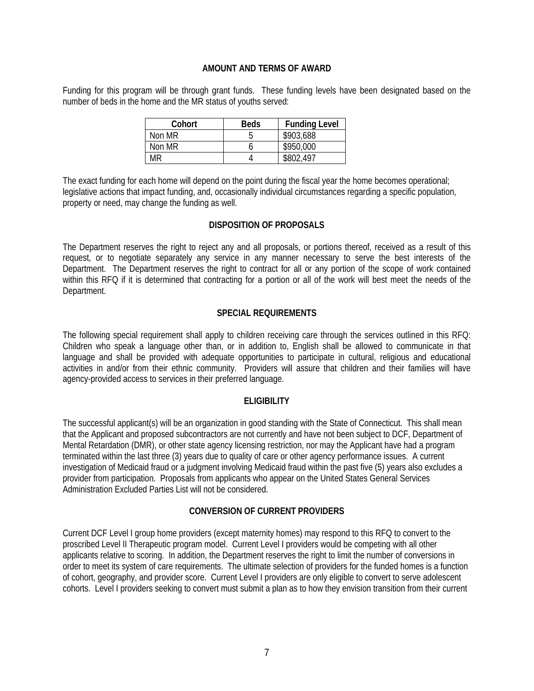#### **AMOUNT AND TERMS OF AWARD**

Funding for this program will be through grant funds. These funding levels have been designated based on the number of beds in the home and the MR status of youths served:

| Cohort | <b>Beds</b> | <b>Funding Level</b> |
|--------|-------------|----------------------|
| Non MR |             | \$903,688            |
| Non MR |             | \$950,000            |
| MR     |             | \$802,497            |

The exact funding for each home will depend on the point during the fiscal year the home becomes operational; legislative actions that impact funding, and, occasionally individual circumstances regarding a specific population, property or need, may change the funding as well.

#### **DISPOSITION OF PROPOSALS**

The Department reserves the right to reject any and all proposals, or portions thereof, received as a result of this request, or to negotiate separately any service in any manner necessary to serve the best interests of the Department. The Department reserves the right to contract for all or any portion of the scope of work contained within this RFQ if it is determined that contracting for a portion or all of the work will best meet the needs of the Department.

#### **SPECIAL REQUIREMENTS**

The following special requirement shall apply to children receiving care through the services outlined in this RFQ: Children who speak a language other than, or in addition to, English shall be allowed to communicate in that language and shall be provided with adequate opportunities to participate in cultural, religious and educational activities in and/or from their ethnic community. Providers will assure that children and their families will have agency-provided access to services in their preferred language.

#### **ELIGIBILITY**

The successful applicant(s) will be an organization in good standing with the State of Connecticut. This shall mean that the Applicant and proposed subcontractors are not currently and have not been subject to DCF, Department of Mental Retardation (DMR), or other state agency licensing restriction, nor may the Applicant have had a program terminated within the last three (3) years due to quality of care or other agency performance issues. A current investigation of Medicaid fraud or a judgment involving Medicaid fraud within the past five (5) years also excludes a provider from participation. Proposals from applicants who appear on the United States General Services Administration Excluded Parties List will not be considered.

#### **CONVERSION OF CURRENT PROVIDERS**

Current DCF Level I group home providers (except maternity homes) may respond to this RFQ to convert to the proscribed Level II Therapeutic program model. Current Level I providers would be competing with all other applicants relative to scoring. In addition, the Department reserves the right to limit the number of conversions in order to meet its system of care requirements. The ultimate selection of providers for the funded homes is a function of cohort, geography, and provider score. Current Level I providers are only eligible to convert to serve adolescent cohorts. Level I providers seeking to convert must submit a plan as to how they envision transition from their current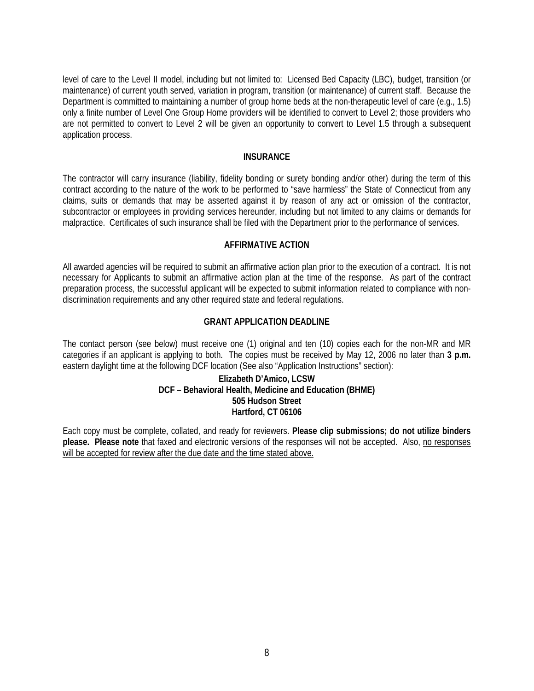level of care to the Level II model, including but not limited to: Licensed Bed Capacity (LBC), budget, transition (or maintenance) of current youth served, variation in program, transition (or maintenance) of current staff. Because the Department is committed to maintaining a number of group home beds at the non-therapeutic level of care (e.g., 1.5) only a finite number of Level One Group Home providers will be identified to convert to Level 2; those providers who are not permitted to convert to Level 2 will be given an opportunity to convert to Level 1.5 through a subsequent application process.

#### **INSURANCE**

The contractor will carry insurance (liability, fidelity bonding or surety bonding and/or other) during the term of this contract according to the nature of the work to be performed to "save harmless" the State of Connecticut from any claims, suits or demands that may be asserted against it by reason of any act or omission of the contractor, subcontractor or employees in providing services hereunder, including but not limited to any claims or demands for malpractice. Certificates of such insurance shall be filed with the Department prior to the performance of services.

#### **AFFIRMATIVE ACTION**

All awarded agencies will be required to submit an affirmative action plan prior to the execution of a contract. It is not necessary for Applicants to submit an affirmative action plan at the time of the response. As part of the contract preparation process, the successful applicant will be expected to submit information related to compliance with nondiscrimination requirements and any other required state and federal regulations.

#### **GRANT APPLICATION DEADLINE**

The contact person (see below) must receive one (1) original and ten (10) copies each for the non-MR and MR categories if an applicant is applying to both. The copies must be received by May 12, 2006 no later than **3 p.m.** eastern daylight time at the following DCF location (See also "Application Instructions" section):

#### **Elizabeth D'Amico, LCSW DCF – Behavioral Health, Medicine and Education (BHME) 505 Hudson Street Hartford, CT 06106**

Each copy must be complete, collated, and ready for reviewers. **Please clip submissions; do not utilize binders please. Please note** that faxed and electronic versions of the responses will not be accepted. Also, no responses will be accepted for review after the due date and the time stated above.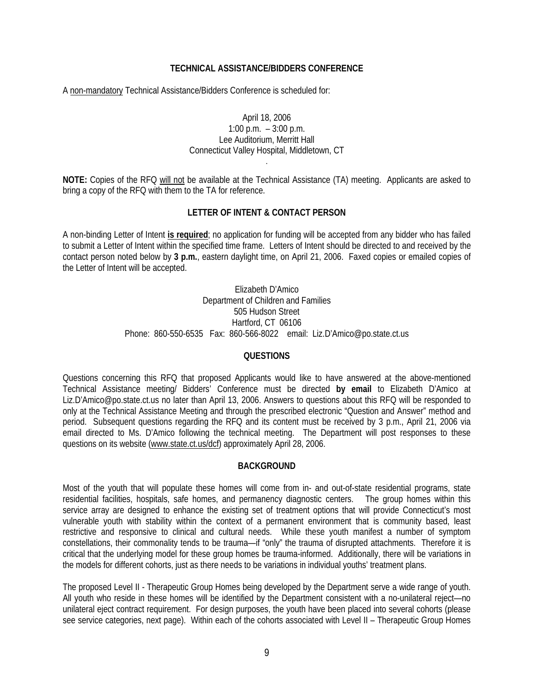#### **TECHNICAL ASSISTANCE/BIDDERS CONFERENCE**

A non-mandatory Technical Assistance/Bidders Conference is scheduled for:

#### April 18, 2006 1:00 p.m. – 3:00 p.m. Lee Auditorium, Merritt Hall Connecticut Valley Hospital, Middletown, CT

**NOTE:** Copies of the RFQ will not be available at the Technical Assistance (TA) meeting. Applicants are asked to bring a copy of the RFQ with them to the TA for reference.

.

#### **LETTER OF INTENT & CONTACT PERSON**

A non-binding Letter of Intent **is required**; no application for funding will be accepted from any bidder who has failed to submit a Letter of Intent within the specified time frame. Letters of Intent should be directed to and received by the contact person noted below by **3 p.m.**, eastern daylight time, on April 21, 2006. Faxed copies or emailed copies of the Letter of Intent will be accepted.

> Elizabeth D'Amico Department of Children and Families 505 Hudson Street Hartford, CT 06106 Phone: 860-550-6535 Fax: 860-566-8022 email: Liz.D'Amico@po.state.ct.us

#### **QUESTIONS**

Questions concerning this RFQ that proposed Applicants would like to have answered at the above-mentioned Technical Assistance meeting/ Bidders' Conference must be directed **by email** to Elizabeth D'Amico at Liz.D'Amico@po.state.ct.us no later than April 13, 2006. Answers to questions about this RFQ will be responded to only at the Technical Assistance Meeting and through the prescribed electronic "Question and Answer" method and period. Subsequent questions regarding the RFQ and its content must be received by 3 p.m., April 21, 2006 via email directed to Ms. D'Amico following the technical meeting. The Department will post responses to these questions on its website [\(www.state.ct.us/dcf](http://www.state.ct.us/dcf)) approximately April 28, 2006.

#### **BACKGROUND**

Most of the youth that will populate these homes will come from in- and out-of-state residential programs, state residential facilities, hospitals, safe homes, and permanency diagnostic centers. The group homes within this service array are designed to enhance the existing set of treatment options that will provide Connecticut's most vulnerable youth with stability within the context of a permanent environment that is community based, least restrictive and responsive to clinical and cultural needs. While these youth manifest a number of symptom constellations, their commonality tends to be trauma—if "only" the trauma of disrupted attachments. Therefore it is critical that the underlying model for these group homes be trauma-informed. Additionally, there will be variations in the models for different cohorts, just as there needs to be variations in individual youths' treatment plans.

The proposed Level II - Therapeutic Group Homes being developed by the Department serve a wide range of youth. All youth who reside in these homes will be identified by the Department consistent with a no-unilateral reject—no unilateral eject contract requirement. For design purposes, the youth have been placed into several cohorts (please see service categories, next page). Within each of the cohorts associated with Level II – Therapeutic Group Homes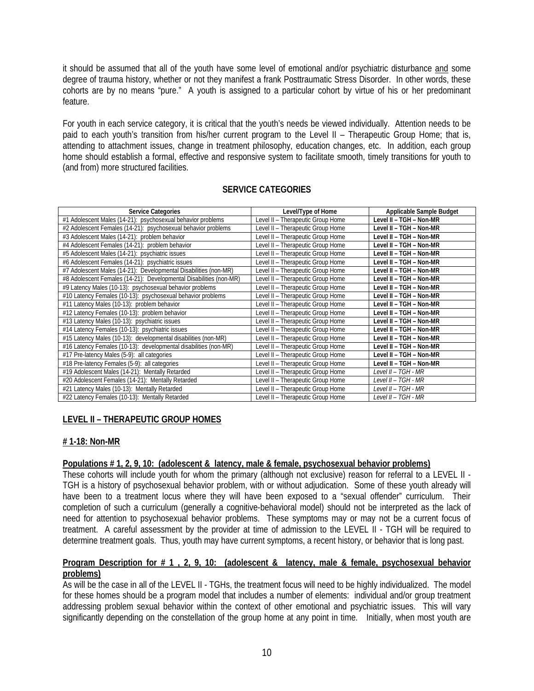it should be assumed that all of the youth have some level of emotional and/or psychiatric disturbance and some degree of trauma history, whether or not they manifest a frank Posttraumatic Stress Disorder. In other words, these cohorts are by no means "pure." A youth is assigned to a particular cohort by virtue of his or her predominant feature.

For youth in each service category, it is critical that the youth's needs be viewed individually. Attention needs to be paid to each youth's transition from his/her current program to the Level II – Therapeutic Group Home; that is, attending to attachment issues, change in treatment philosophy, education changes, etc. In addition, each group home should establish a formal, effective and responsive system to facilitate smooth, timely transitions for youth to (and from) more structured facilities.

| <b>Service Categories</b>                                          | Level/Type of Home                | Applicable Sample Budget |
|--------------------------------------------------------------------|-----------------------------------|--------------------------|
| #1 Adolescent Males (14-21): psychosexual behavior problems        | Level II - Therapeutic Group Home | Level II - TGH - Non-MR  |
| #2 Adolescent Females (14-21): psychosexual behavior problems      | Level II - Therapeutic Group Home | Level II - TGH - Non-MR  |
| #3 Adolescent Males (14-21): problem behavior                      | Level II - Therapeutic Group Home | Level II - TGH - Non-MR  |
| #4 Adolescent Females (14-21): problem behavior                    | Level II - Therapeutic Group Home | Level II - TGH - Non-MR  |
| #5 Adolescent Males (14-21): psychiatric issues                    | Level II - Therapeutic Group Home | Level II – TGH – Non-MR  |
| #6 Adolescent Females (14-21): psychiatric issues                  | Level II - Therapeutic Group Home | Level II - TGH - Non-MR  |
| #7 Adolescent Males (14-21): Developmental Disabilities (non-MR)   | Level II - Therapeutic Group Home | Level II - TGH - Non-MR  |
| #8 Adolescent Females (14-21): Developmental Disabilities (non-MR) | Level II - Therapeutic Group Home | Level II - TGH - Non-MR  |
| #9 Latency Males (10-13): psychosexual behavior problems           | Level II - Therapeutic Group Home | Level II - TGH - Non-MR  |
| #10 Latency Females (10-13): psychosexual behavior problems        | Level II - Therapeutic Group Home | Level II – TGH – Non-MR  |
| #11 Latency Males (10-13): problem behavior                        | Level II - Therapeutic Group Home | Level II - TGH - Non-MR  |
| #12 Latency Females (10-13): problem behavior                      | Level II - Therapeutic Group Home | Level II - TGH - Non-MR  |
| #13 Latency Males (10-13): psychiatric issues                      | Level II - Therapeutic Group Home | Level II - TGH - Non-MR  |
| #14 Latency Females (10-13): psychiatric issues                    | Level II - Therapeutic Group Home | Level II - TGH - Non-MR  |
| #15 Latency Males (10-13): developmental disabilities (non-MR)     | Level II - Therapeutic Group Home | Level II - TGH - Non-MR  |
| #16 Latency Females (10-13): developmental disabilities (non-MR)   | Level II - Therapeutic Group Home | Level II - TGH - Non-MR  |
| #17 Pre-latency Males (5-9): all categories                        | Level II - Therapeutic Group Home | Level II - TGH - Non-MR  |
| #18 Pre-latency Females (5-9): all categories                      | Level II - Therapeutic Group Home | Level II - TGH - Non-MR  |
| #19 Adolescent Males (14-21): Mentally Retarded                    | Level II - Therapeutic Group Home | Level II – TGH - MR      |
| #20 Adolescent Females (14-21): Mentally Retarded                  | Level II - Therapeutic Group Home | Level II – TGH - MR      |
| #21 Latency Males (10-13): Mentally Retarded                       | Level II - Therapeutic Group Home | Level II - TGH - MR      |
| #22 Latency Females (10-13): Mentally Retarded                     | Level II - Therapeutic Group Home | Level II - TGH - MR      |

#### **SERVICE CATEGORIES**

#### **LEVEL II – THERAPEUTIC GROUP HOMES**

#### **# 1-18: Non-MR**

#### **Populations # 1, 2, 9, 10: (adolescent & latency, male & female, psychosexual behavior problems)**

These cohorts will include youth for whom the primary (although not exclusive) reason for referral to a LEVEL II - TGH is a history of psychosexual behavior problem, with or without adjudication. Some of these youth already will have been to a treatment locus where they will have been exposed to a "sexual offender" curriculum. Their completion of such a curriculum (generally a cognitive-behavioral model) should not be interpreted as the lack of need for attention to psychosexual behavior problems. These symptoms may or may not be a current focus of treatment. A careful assessment by the provider at time of admission to the LEVEL II - TGH will be required to determine treatment goals. Thus, youth may have current symptoms, a recent history, or behavior that is long past.

#### **Program Description for # 1 , 2, 9, 10: (adolescent & latency, male & female, psychosexual behavior problems)**

As will be the case in all of the LEVEL II - TGHs, the treatment focus will need to be highly individualized. The model for these homes should be a program model that includes a number of elements: individual and/or group treatment addressing problem sexual behavior within the context of other emotional and psychiatric issues. This will vary significantly depending on the constellation of the group home at any point in time. Initially, when most youth are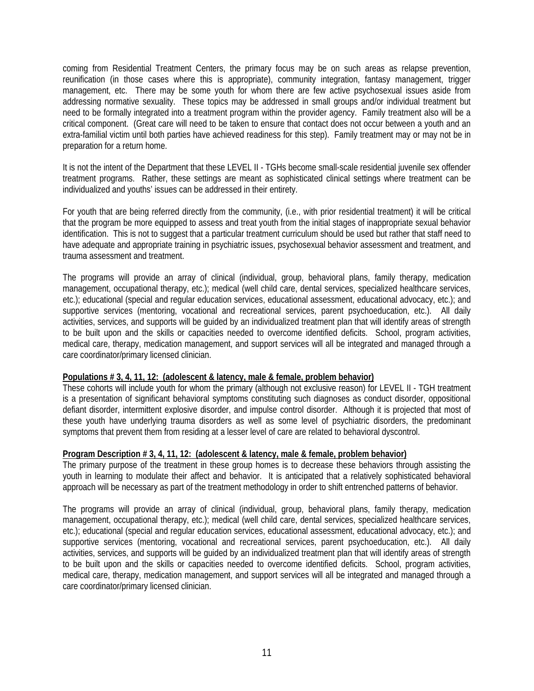coming from Residential Treatment Centers, the primary focus may be on such areas as relapse prevention, reunification (in those cases where this is appropriate), community integration, fantasy management, trigger management, etc. There may be some youth for whom there are few active psychosexual issues aside from addressing normative sexuality. These topics may be addressed in small groups and/or individual treatment but need to be formally integrated into a treatment program within the provider agency. Family treatment also will be a critical component. (Great care will need to be taken to ensure that contact does not occur between a youth and an extra-familial victim until both parties have achieved readiness for this step). Family treatment may or may not be in preparation for a return home.

It is not the intent of the Department that these LEVEL II - TGHs become small-scale residential juvenile sex offender treatment programs. Rather, these settings are meant as sophisticated clinical settings where treatment can be individualized and youths' issues can be addressed in their entirety.

For youth that are being referred directly from the community, (i.e., with prior residential treatment) it will be critical that the program be more equipped to assess and treat youth from the initial stages of inappropriate sexual behavior identification. This is not to suggest that a particular treatment curriculum should be used but rather that staff need to have adequate and appropriate training in psychiatric issues, psychosexual behavior assessment and treatment, and trauma assessment and treatment.

The programs will provide an array of clinical (individual, group, behavioral plans, family therapy, medication management, occupational therapy, etc.); medical (well child care, dental services, specialized healthcare services, etc.); educational (special and regular education services, educational assessment, educational advocacy, etc.); and supportive services (mentoring, vocational and recreational services, parent psychoeducation, etc.). All daily activities, services, and supports will be guided by an individualized treatment plan that will identify areas of strength to be built upon and the skills or capacities needed to overcome identified deficits. School, program activities, medical care, therapy, medication management, and support services will all be integrated and managed through a care coordinator/primary licensed clinician.

#### **Populations # 3, 4, 11, 12: (adolescent & latency, male & female, problem behavior)**

These cohorts will include youth for whom the primary (although not exclusive reason) for LEVEL II - TGH treatment is a presentation of significant behavioral symptoms constituting such diagnoses as conduct disorder, oppositional defiant disorder, intermittent explosive disorder, and impulse control disorder. Although it is projected that most of these youth have underlying trauma disorders as well as some level of psychiatric disorders, the predominant symptoms that prevent them from residing at a lesser level of care are related to behavioral dyscontrol.

#### **Program Description # 3, 4, 11, 12: (adolescent & latency, male & female, problem behavior)**

The primary purpose of the treatment in these group homes is to decrease these behaviors through assisting the youth in learning to modulate their affect and behavior. It is anticipated that a relatively sophisticated behavioral approach will be necessary as part of the treatment methodology in order to shift entrenched patterns of behavior.

The programs will provide an array of clinical (individual, group, behavioral plans, family therapy, medication management, occupational therapy, etc.); medical (well child care, dental services, specialized healthcare services, etc.); educational (special and regular education services, educational assessment, educational advocacy, etc.); and supportive services (mentoring, vocational and recreational services, parent psychoeducation, etc.). All daily activities, services, and supports will be guided by an individualized treatment plan that will identify areas of strength to be built upon and the skills or capacities needed to overcome identified deficits. School, program activities, medical care, therapy, medication management, and support services will all be integrated and managed through a care coordinator/primary licensed clinician.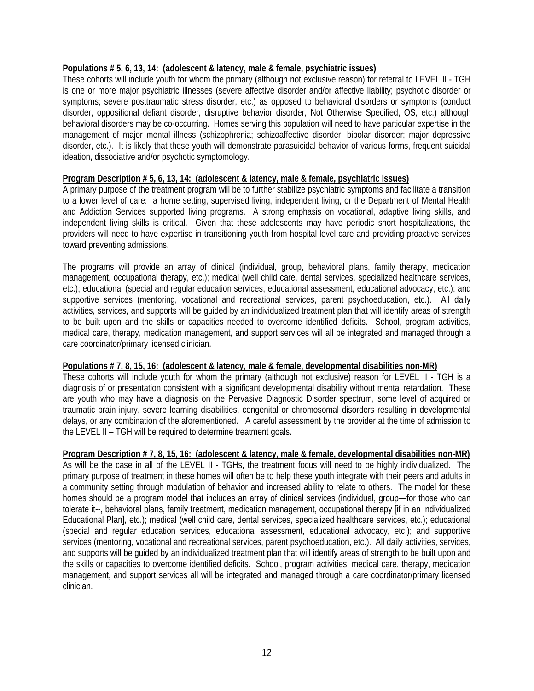#### **Populations # 5, 6, 13, 14: (adolescent & latency, male & female, psychiatric issues)**

These cohorts will include youth for whom the primary (although not exclusive reason) for referral to LEVEL II - TGH is one or more major psychiatric illnesses (severe affective disorder and/or affective liability; psychotic disorder or symptoms; severe posttraumatic stress disorder, etc.) as opposed to behavioral disorders or symptoms (conduct disorder, oppositional defiant disorder, disruptive behavior disorder, Not Otherwise Specified, OS, etc.) although behavioral disorders may be co-occurring. Homes serving this population will need to have particular expertise in the management of major mental illness (schizophrenia; schizoaffective disorder; bipolar disorder; major depressive disorder, etc.). It is likely that these youth will demonstrate parasuicidal behavior of various forms, frequent suicidal ideation, dissociative and/or psychotic symptomology.

#### **Program Description # 5, 6, 13, 14: (adolescent & latency, male & female, psychiatric issues)**

A primary purpose of the treatment program will be to further stabilize psychiatric symptoms and facilitate a transition to a lower level of care: a home setting, supervised living, independent living, or the Department of Mental Health and Addiction Services supported living programs. A strong emphasis on vocational, adaptive living skills, and independent living skills is critical. Given that these adolescents may have periodic short hospitalizations, the providers will need to have expertise in transitioning youth from hospital level care and providing proactive services toward preventing admissions.

The programs will provide an array of clinical (individual, group, behavioral plans, family therapy, medication management, occupational therapy, etc.); medical (well child care, dental services, specialized healthcare services, etc.); educational (special and regular education services, educational assessment, educational advocacy, etc.); and supportive services (mentoring, vocational and recreational services, parent psychoeducation, etc.). All daily activities, services, and supports will be guided by an individualized treatment plan that will identify areas of strength to be built upon and the skills or capacities needed to overcome identified deficits. School, program activities, medical care, therapy, medication management, and support services will all be integrated and managed through a care coordinator/primary licensed clinician.

#### **Populations # 7, 8, 15, 16: (adolescent & latency, male & female, developmental disabilities non-MR)**

These cohorts will include youth for whom the primary (although not exclusive) reason for LEVEL II - TGH is a diagnosis of or presentation consistent with a significant developmental disability without mental retardation. These are youth who may have a diagnosis on the Pervasive Diagnostic Disorder spectrum, some level of acquired or traumatic brain injury, severe learning disabilities, congenital or chromosomal disorders resulting in developmental delays, or any combination of the aforementioned. A careful assessment by the provider at the time of admission to the LEVEL II – TGH will be required to determine treatment goals.

#### **Program Description # 7, 8, 15, 16: (adolescent & latency, male & female, developmental disabilities non-MR)**

As will be the case in all of the LEVEL II - TGHs, the treatment focus will need to be highly individualized. The primary purpose of treatment in these homes will often be to help these youth integrate with their peers and adults in a community setting through modulation of behavior and increased ability to relate to others. The model for these homes should be a program model that includes an array of clinical services (individual, group—for those who can tolerate it--, behavioral plans, family treatment, medication management, occupational therapy [if in an Individualized Educational Plan], etc.); medical (well child care, dental services, specialized healthcare services, etc.); educational (special and regular education services, educational assessment, educational advocacy, etc.); and supportive services (mentoring, vocational and recreational services, parent psychoeducation, etc.). All daily activities, services, and supports will be guided by an individualized treatment plan that will identify areas of strength to be built upon and the skills or capacities to overcome identified deficits. School, program activities, medical care, therapy, medication management, and support services all will be integrated and managed through a care coordinator/primary licensed clinician.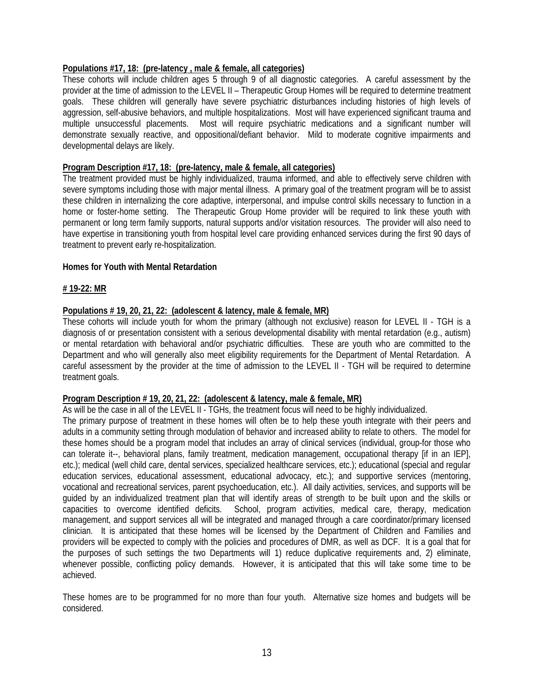#### **Populations #17, 18: (pre-latency , male & female, all categories)**

These cohorts will include children ages 5 through 9 of all diagnostic categories. A careful assessment by the provider at the time of admission to the LEVEL II – Therapeutic Group Homes will be required to determine treatment goals. These children will generally have severe psychiatric disturbances including histories of high levels of aggression, self-abusive behaviors, and multiple hospitalizations. Most will have experienced significant trauma and multiple unsuccessful placements. Most will require psychiatric medications and a significant number will demonstrate sexually reactive, and oppositional/defiant behavior. Mild to moderate cognitive impairments and developmental delays are likely.

#### **Program Description #17, 18: (pre-latency, male & female, all categories)**

The treatment provided must be highly individualized, trauma informed, and able to effectively serve children with severe symptoms including those with major mental illness. A primary goal of the treatment program will be to assist these children in internalizing the core adaptive, interpersonal, and impulse control skills necessary to function in a home or foster-home setting. The Therapeutic Group Home provider will be required to link these youth with permanent or long term family supports, natural supports and/or visitation resources. The provider will also need to have expertise in transitioning youth from hospital level care providing enhanced services during the first 90 days of treatment to prevent early re-hospitalization.

#### **Homes for Youth with Mental Retardation**

#### **# 19-22: MR**

#### **Populations # 19, 20, 21, 22: (adolescent & latency, male & female, MR)**

These cohorts will include youth for whom the primary (although not exclusive) reason for LEVEL II - TGH is a diagnosis of or presentation consistent with a serious developmental disability with mental retardation (e.g., autism) or mental retardation with behavioral and/or psychiatric difficulties. These are youth who are committed to the Department and who will generally also meet eligibility requirements for the Department of Mental Retardation. A careful assessment by the provider at the time of admission to the LEVEL II - TGH will be required to determine treatment goals.

#### **Program Description # 19, 20, 21, 22: (adolescent & latency, male & female, MR)**

As will be the case in all of the LEVEL II - TGHs, the treatment focus will need to be highly individualized.

The primary purpose of treatment in these homes will often be to help these youth integrate with their peers and adults in a community setting through modulation of behavior and increased ability to relate to others. The model for these homes should be a program model that includes an array of clinical services (individual, group-for those who can tolerate it--, behavioral plans, family treatment, medication management, occupational therapy [if in an IEP], etc.); medical (well child care, dental services, specialized healthcare services, etc.); educational (special and regular education services, educational assessment, educational advocacy, etc.); and supportive services (mentoring, vocational and recreational services, parent psychoeducation, etc.). All daily activities, services, and supports will be guided by an individualized treatment plan that will identify areas of strength to be built upon and the skills or capacities to overcome identified deficits. School, program activities, medical care, therapy, medication management, and support services all will be integrated and managed through a care coordinator/primary licensed clinician. It is anticipated that these homes will be licensed by the Department of Children and Families and providers will be expected to comply with the policies and procedures of DMR, as well as DCF. It is a goal that for the purposes of such settings the two Departments will 1) reduce duplicative requirements and, 2) eliminate, whenever possible, conflicting policy demands. However, it is anticipated that this will take some time to be achieved.

These homes are to be programmed for no more than four youth. Alternative size homes and budgets will be considered.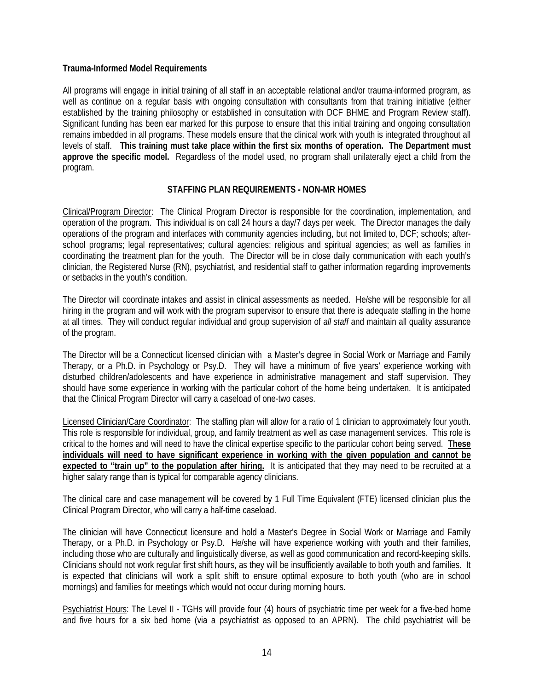#### **Trauma-Informed Model Requirements**

All programs will engage in initial training of all staff in an acceptable relational and/or trauma-informed program, as well as continue on a regular basis with ongoing consultation with consultants from that training initiative (either established by the training philosophy or established in consultation with DCF BHME and Program Review staff). Significant funding has been ear marked for this purpose to ensure that this initial training and ongoing consultation remains imbedded in all programs. These models ensure that the clinical work with youth is integrated throughout all levels of staff. **This training must take place within the first six months of operation. The Department must approve the specific model.** Regardless of the model used, no program shall unilaterally eject a child from the program.

#### **STAFFING PLAN REQUIREMENTS - NON-MR HOMES**

Clinical/Program Director: The Clinical Program Director is responsible for the coordination, implementation, and operation of the program. This individual is on call 24 hours a day/7 days per week. The Director manages the daily operations of the program and interfaces with community agencies including, but not limited to, DCF; schools; afterschool programs; legal representatives; cultural agencies; religious and spiritual agencies; as well as families in coordinating the treatment plan for the youth. The Director will be in close daily communication with each youth's clinician, the Registered Nurse (RN), psychiatrist, and residential staff to gather information regarding improvements or setbacks in the youth's condition.

The Director will coordinate intakes and assist in clinical assessments as needed. He/she will be responsible for all hiring in the program and will work with the program supervisor to ensure that there is adequate staffing in the home at all times. They will conduct regular individual and group supervision of *all staff* and maintain all quality assurance of the program.

The Director will be a Connecticut licensed clinician with a Master's degree in Social Work or Marriage and Family Therapy, or a Ph.D. in Psychology or Psy.D. They will have a minimum of five years' experience working with disturbed children/adolescents and have experience in administrative management and staff supervision. They should have some experience in working with the particular cohort of the home being undertaken. It is anticipated that the Clinical Program Director will carry a caseload of one-two cases.

Licensed Clinician/Care Coordinator: The staffing plan will allow for a ratio of 1 clinician to approximately four youth. This role is responsible for individual, group, and family treatment as well as case management services. This role is critical to the homes and will need to have the clinical expertise specific to the particular cohort being served. **These individuals will need to have significant experience in working with the given population and cannot be expected to "train up" to the population after hiring.** It is anticipated that they may need to be recruited at a higher salary range than is typical for comparable agency clinicians.

The clinical care and case management will be covered by 1 Full Time Equivalent (FTE) licensed clinician plus the Clinical Program Director, who will carry a half-time caseload.

The clinician will have Connecticut licensure and hold a Master's Degree in Social Work or Marriage and Family Therapy, or a Ph.D. in Psychology or Psy.D. He/she will have experience working with youth and their families, including those who are culturally and linguistically diverse, as well as good communication and record-keeping skills. Clinicians should not work regular first shift hours, as they will be insufficiently available to both youth and families. It is expected that clinicians will work a split shift to ensure optimal exposure to both youth (who are in school mornings) and families for meetings which would not occur during morning hours.

Psychiatrist Hours: The Level II - TGHs will provide four (4) hours of psychiatric time per week for a five-bed home and five hours for a six bed home (via a psychiatrist as opposed to an APRN). The child psychiatrist will be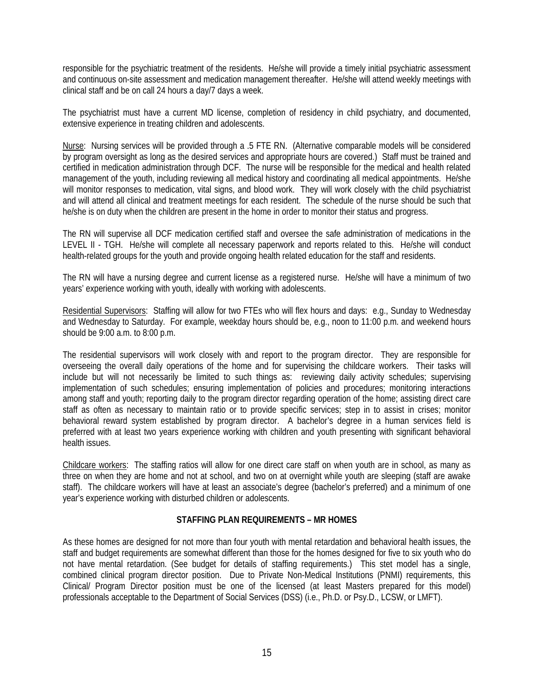responsible for the psychiatric treatment of the residents. He/she will provide a timely initial psychiatric assessment and continuous on-site assessment and medication management thereafter. He/she will attend weekly meetings with clinical staff and be on call 24 hours a day/7 days a week.

The psychiatrist must have a current MD license, completion of residency in child psychiatry, and documented, extensive experience in treating children and adolescents.

Nurse: Nursing services will be provided through a .5 FTE RN. (Alternative comparable models will be considered by program oversight as long as the desired services and appropriate hours are covered.) Staff must be trained and certified in medication administration through DCF. The nurse will be responsible for the medical and health related management of the youth, including reviewing all medical history and coordinating all medical appointments. He/she will monitor responses to medication, vital signs, and blood work. They will work closely with the child psychiatrist and will attend all clinical and treatment meetings for each resident. The schedule of the nurse should be such that he/she is on duty when the children are present in the home in order to monitor their status and progress.

The RN will supervise all DCF medication certified staff and oversee the safe administration of medications in the LEVEL II - TGH. He/she will complete all necessary paperwork and reports related to this. He/she will conduct health-related groups for the youth and provide ongoing health related education for the staff and residents.

The RN will have a nursing degree and current license as a registered nurse. He/she will have a minimum of two years' experience working with youth, ideally with working with adolescents.

Residential Supervisors: Staffing will allow for two FTEs who will flex hours and days: e.g., Sunday to Wednesday and Wednesday to Saturday. For example, weekday hours should be, e.g., noon to 11:00 p.m. and weekend hours should be 9:00 a.m. to 8:00 p.m.

The residential supervisors will work closely with and report to the program director. They are responsible for overseeing the overall daily operations of the home and for supervising the childcare workers. Their tasks will include but will not necessarily be limited to such things as: reviewing daily activity schedules; supervising implementation of such schedules; ensuring implementation of policies and procedures; monitoring interactions among staff and youth; reporting daily to the program director regarding operation of the home; assisting direct care staff as often as necessary to maintain ratio or to provide specific services; step in to assist in crises; monitor behavioral reward system established by program director. A bachelor's degree in a human services field is preferred with at least two years experience working with children and youth presenting with significant behavioral health issues.

Childcare workers: The staffing ratios will allow for one direct care staff on when youth are in school, as many as three on when they are home and not at school, and two on at overnight while youth are sleeping (staff are awake staff). The childcare workers will have at least an associate's degree (bachelor's preferred) and a minimum of one year's experience working with disturbed children or adolescents.

#### **STAFFING PLAN REQUIREMENTS – MR HOMES**

As these homes are designed for not more than four youth with mental retardation and behavioral health issues, the staff and budget requirements are somewhat different than those for the homes designed for five to six youth who do not have mental retardation. (See budget for details of staffing requirements.) This stet model has a single, combined clinical program director position. Due to Private Non-Medical Institutions (PNMI) requirements, this Clinical/ Program Director position must be one of the licensed (at least Masters prepared for this model) professionals acceptable to the Department of Social Services (DSS) (i.e., Ph.D. or Psy.D., LCSW, or LMFT).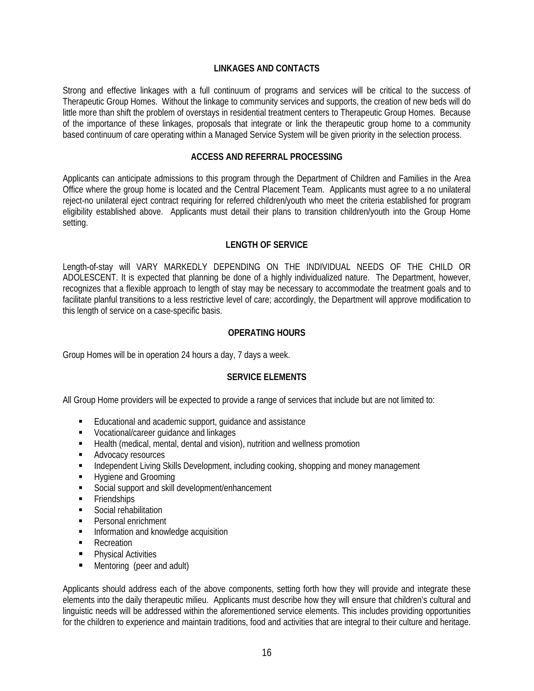#### **LINKAGES AND CONTACTS**

Strong and effective linkages with a full continuum of programs and services will be critical to the success of Therapeutic Group Homes. Without the linkage to community services and supports, the creation of new beds will do little more than shift the problem of overstays in residential treatment centers to Therapeutic Group Homes. Because of the importance of these linkages, proposals that integrate or link the therapeutic group home to a community based continuum of care operating within a Managed Service System will be given priority in the selection process.

#### **ACCESS AND REFERRAL PROCESSING**

Applicants can anticipate admissions to this program through the Department of Children and Families in the Area Office where the group home is located and the Central Placement Team. Applicants must agree to a no unilateral reject-no unilateral eject contract requiring for referred children/youth who meet the criteria established for program eligibility established above. Applicants must detail their plans to transition children/youth into the Group Home setting.

#### **LENGTH OF SERVICE**

Length-of-stay will VARY MARKEDLY DEPENDING ON THE INDIVIDUAL NEEDS OF THE CHILD OR ADOLESCENT. It is expected that planning be done of a highly individualized nature. The Department, however, recognizes that a flexible approach to length of stay may be necessary to accommodate the treatment goals and to facilitate planful transitions to a less restrictive level of care; accordingly, the Department will approve modification to this length of service on a case-specific basis.

#### **OPERATING HOURS**

Group Homes will be in operation 24 hours a day, 7 days a week.

#### **SERVICE ELEMENTS**

All Group Home providers will be expected to provide a range of services that include but are not limited to:

- Educational and academic support, guidance and assistance
- **Vocational/career guidance and linkages**
- Health (medical, mental, dental and vision), nutrition and wellness promotion
- **Advocacy resources**
- Independent Living Skills Development, including cooking, shopping and money management
- **Hygiene and Grooming**
- Social support and skill development/enhancement
- **Friendships**
- **Social rehabilitation**
- **Personal enrichment**
- **Information and knowledge acquisition**
- **Recreation**
- **Physical Activities**
- Mentoring (peer and adult)

Applicants should address each of the above components, setting forth how they will provide and integrate these elements into the daily therapeutic milieu. Applicants must describe how they will ensure that children's cultural and linguistic needs will be addressed within the aforementioned service elements. This includes providing opportunities for the children to experience and maintain traditions, food and activities that are integral to their culture and heritage.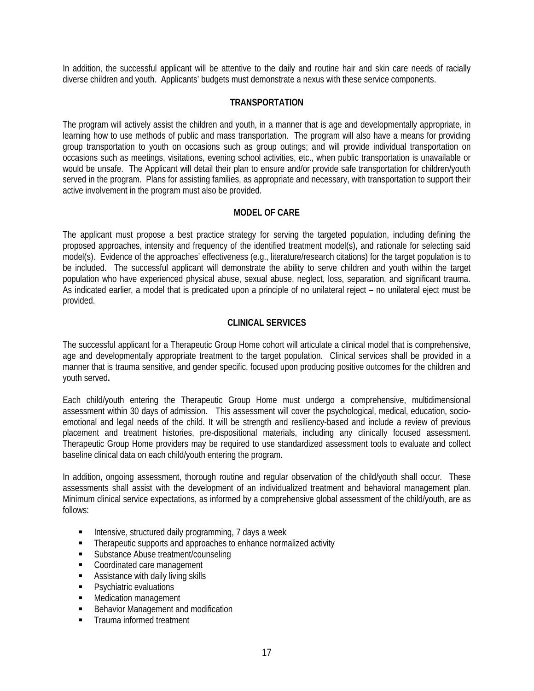In addition, the successful applicant will be attentive to the daily and routine hair and skin care needs of racially diverse children and youth. Applicants' budgets must demonstrate a nexus with these service components.

#### **TRANSPORTATION**

The program will actively assist the children and youth, in a manner that is age and developmentally appropriate, in learning how to use methods of public and mass transportation. The program will also have a means for providing group transportation to youth on occasions such as group outings; and will provide individual transportation on occasions such as meetings, visitations, evening school activities, etc., when public transportation is unavailable or would be unsafe. The Applicant will detail their plan to ensure and/or provide safe transportation for children/youth served in the program. Plans for assisting families, as appropriate and necessary, with transportation to support their active involvement in the program must also be provided.

#### **MODEL OF CARE**

The applicant must propose a best practice strategy for serving the targeted population, including defining the proposed approaches, intensity and frequency of the identified treatment model(s), and rationale for selecting said model(s). Evidence of the approaches' effectiveness (e.g., literature/research citations) for the target population is to be included. The successful applicant will demonstrate the ability to serve children and youth within the target population who have experienced physical abuse, sexual abuse, neglect, loss, separation, and significant trauma. As indicated earlier, a model that is predicated upon a principle of no unilateral reject – no unilateral eject must be provided.

#### **CLINICAL SERVICES**

The successful applicant for a Therapeutic Group Home cohort will articulate a clinical model that is comprehensive, age and developmentally appropriate treatment to the target population. Clinical services shall be provided in a manner that is trauma sensitive, and gender specific, focused upon producing positive outcomes for the children and youth served**.** 

Each child/youth entering the Therapeutic Group Home must undergo a comprehensive, multidimensional assessment within 30 days of admission. This assessment will cover the psychological, medical, education, socioemotional and legal needs of the child. It will be strength and resiliency-based and include a review of previous placement and treatment histories, pre-dispositional materials, including any clinically focused assessment. Therapeutic Group Home providers may be required to use standardized assessment tools to evaluate and collect baseline clinical data on each child/youth entering the program.

In addition, ongoing assessment, thorough routine and regular observation of the child/youth shall occur. These assessments shall assist with the development of an individualized treatment and behavioral management plan. Minimum clinical service expectations, as informed by a comprehensive global assessment of the child/youth, are as follows:

- **Intensive, structured daily programming, 7 days a week**
- Therapeutic supports and approaches to enhance normalized activity
- **Substance Abuse treatment/counseling**
- **Coordinated care management**
- **Assistance with daily living skills**
- **Psychiatric evaluations**
- **Medication management**
- **Behavior Management and modification**
- Trauma informed treatment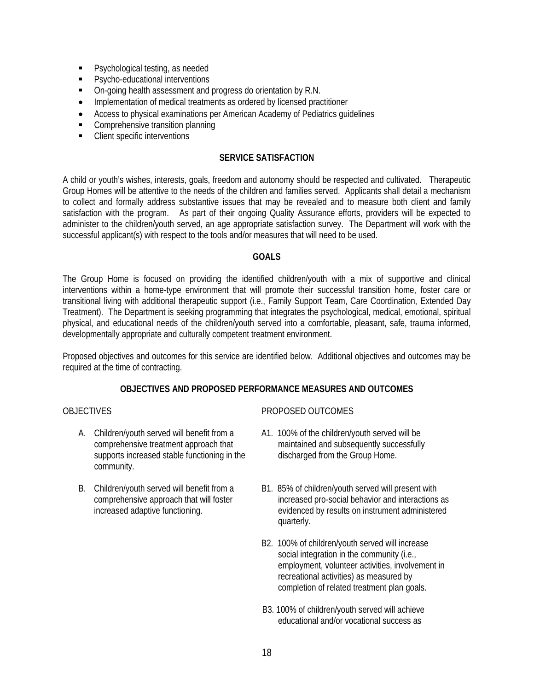- **Psychological testing, as needed**
- **Psycho-educational interventions**
- On-going health assessment and progress do orientation by R.N.
- Implementation of medical treatments as ordered by licensed practitioner
- Access to physical examinations per American Academy of Pediatrics guidelines
- Comprehensive transition planning
- Client specific interventions

#### **SERVICE SATISFACTION**

A child or youth's wishes, interests, goals, freedom and autonomy should be respected and cultivated. Therapeutic Group Homes will be attentive to the needs of the children and families served. Applicants shall detail a mechanism to collect and formally address substantive issues that may be revealed and to measure both client and family satisfaction with the program. As part of their ongoing Quality Assurance efforts, providers will be expected to administer to the children/youth served, an age appropriate satisfaction survey. The Department will work with the successful applicant(s) with respect to the tools and/or measures that will need to be used.

#### **GOALS**

The Group Home is focused on providing the identified children/youth with a mix of supportive and clinical interventions within a home-type environment that will promote their successful transition home, foster care or transitional living with additional therapeutic support (i.e., Family Support Team, Care Coordination, Extended Day Treatment). The Department is seeking programming that integrates the psychological, medical, emotional, spiritual physical, and educational needs of the children/youth served into a comfortable, pleasant, safe, trauma informed, developmentally appropriate and culturally competent treatment environment.

Proposed objectives and outcomes for this service are identified below. Additional objectives and outcomes may be required at the time of contracting.

#### **OBJECTIVES AND PROPOSED PERFORMANCE MEASURES AND OUTCOMES**

#### **OBJECTIVES**

- A. Children/youth served will benefit from a comprehensive treatment approach that supports increased stable functioning in the community.
- B. Children/youth served will benefit from a comprehensive approach that will foster increased adaptive functioning.

#### PROPOSED OUTCOMES

- A1. 100% of the children/youth served will be maintained and subsequently successfully discharged from the Group Home.
- B1. 85% of children/youth served will present with increased pro-social behavior and interactions as evidenced by results on instrument administered quarterly.
- B2. 100% of children/youth served will increase social integration in the community (i.e., employment, volunteer activities, involvement in recreational activities) as measured by completion of related treatment plan goals.
- B3. 100% of children/youth served will achieve educational and/or vocational success as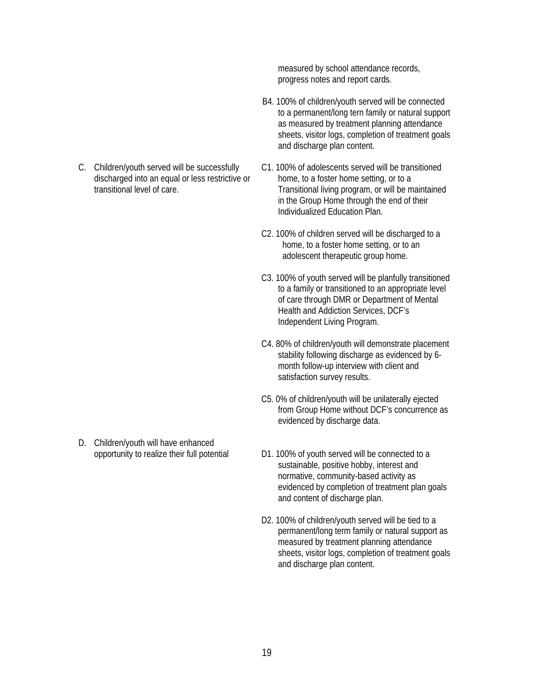C. Children/youth served will be successfully discharged into an equal or less restrictive or transitional level of care.

D. Children/youth will have enhanced opportunity to realize their full potential measured by school attendance records, progress notes and report cards.

- B4. 100% of children/youth served will be connected to a permanent/long tern family or natural support as measured by treatment planning attendance sheets, visitor logs, completion of treatment goals and discharge plan content.
- C1. 100% of adolescents served will be transitioned home, to a foster home setting, or to a Transitional living program, or will be maintained in the Group Home through the end of their Individualized Education Plan.
- C2. 100% of children served will be discharged to a home, to a foster home setting, or to an adolescent therapeutic group home.
- C3. 100% of youth served will be planfully transitioned to a family or transitioned to an appropriate level of care through DMR or Department of Mental Health and Addiction Services, DCF's Independent Living Program.
- C4. 80% of children/youth will demonstrate placement stability following discharge as evidenced by 6 month follow-up interview with client and satisfaction survey results.
- C5. 0% of children/youth will be unilaterally ejected from Group Home without DCF's concurrence as evidenced by discharge data.
- D1. 100% of youth served will be connected to a sustainable, positive hobby, interest and normative, community-based activity as evidenced by completion of treatment plan goals and content of discharge plan.
- D2. 100% of children/youth served will be tied to a permanent/long term family or natural support as measured by treatment planning attendance sheets, visitor logs, completion of treatment goals and discharge plan content.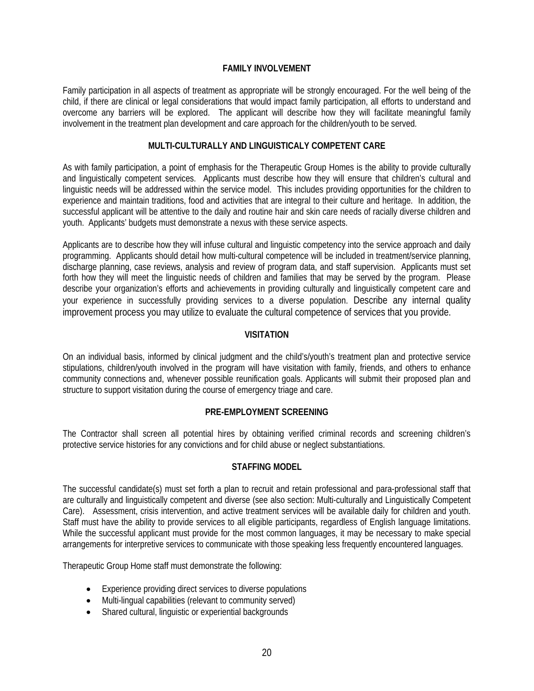#### **FAMILY INVOLVEMENT**

Family participation in all aspects of treatment as appropriate will be strongly encouraged. For the well being of the child, if there are clinical or legal considerations that would impact family participation, all efforts to understand and overcome any barriers will be explored. The applicant will describe how they will facilitate meaningful family involvement in the treatment plan development and care approach for the children/youth to be served.

#### **MULTI-CULTURALLY AND LINGUISTICALY COMPETENT CARE**

As with family participation, a point of emphasis for the Therapeutic Group Homes is the ability to provide culturally and linguistically competent services. Applicants must describe how they will ensure that children's cultural and linguistic needs will be addressed within the service model. This includes providing opportunities for the children to experience and maintain traditions, food and activities that are integral to their culture and heritage. In addition, the successful applicant will be attentive to the daily and routine hair and skin care needs of racially diverse children and youth. Applicants' budgets must demonstrate a nexus with these service aspects.

Applicants are to describe how they will infuse cultural and linguistic competency into the service approach and daily programming. Applicants should detail how multi-cultural competence will be included in treatment/service planning, discharge planning, case reviews, analysis and review of program data, and staff supervision. Applicants must set forth how they will meet the linguistic needs of children and families that may be served by the program. Please describe your organization's efforts and achievements in providing culturally and linguistically competent care and your experience in successfully providing services to a diverse population. Describe any internal quality improvement process you may utilize to evaluate the cultural competence of services that you provide.

#### **VISITATION**

On an individual basis, informed by clinical judgment and the child's/youth's treatment plan and protective service stipulations, children/youth involved in the program will have visitation with family, friends, and others to enhance community connections and, whenever possible reunification goals. Applicants will submit their proposed plan and structure to support visitation during the course of emergency triage and care.

#### **PRE-EMPLOYMENT SCREENING**

The Contractor shall screen all potential hires by obtaining verified criminal records and screening children's protective service histories for any convictions and for child abuse or neglect substantiations.

#### **STAFFING MODEL**

The successful candidate(s) must set forth a plan to recruit and retain professional and para-professional staff that are culturally and linguistically competent and diverse (see also section: Multi-culturally and Linguistically Competent Care). Assessment, crisis intervention, and active treatment services will be available daily for children and youth. Staff must have the ability to provide services to all eligible participants, regardless of English language limitations. While the successful applicant must provide for the most common languages, it may be necessary to make special arrangements for interpretive services to communicate with those speaking less frequently encountered languages.

Therapeutic Group Home staff must demonstrate the following:

- Experience providing direct services to diverse populations
- Multi-lingual capabilities (relevant to community served)
- Shared cultural, linguistic or experiential backgrounds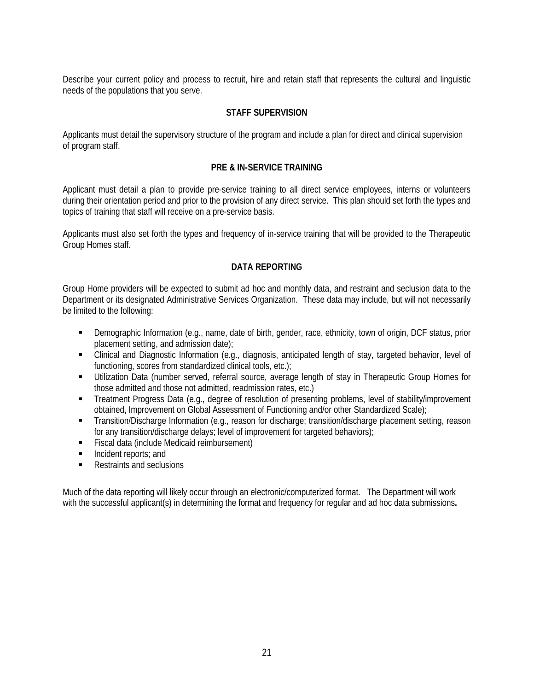Describe your current policy and process to recruit, hire and retain staff that represents the cultural and linguistic needs of the populations that you serve.

#### **STAFF SUPERVISION**

Applicants must detail the supervisory structure of the program and include a plan for direct and clinical supervision of program staff.

#### **PRE & IN-SERVICE TRAINING**

Applicant must detail a plan to provide pre-service training to all direct service employees, interns or volunteers during their orientation period and prior to the provision of any direct service. This plan should set forth the types and topics of training that staff will receive on a pre-service basis.

Applicants must also set forth the types and frequency of in-service training that will be provided to the Therapeutic Group Homes staff.

#### **DATA REPORTING**

Group Home providers will be expected to submit ad hoc and monthly data, and restraint and seclusion data to the Department or its designated Administrative Services Organization. These data may include, but will not necessarily be limited to the following:

- Demographic Information (e.g., name, date of birth, gender, race, ethnicity, town of origin, DCF status, prior placement setting, and admission date);
- Clinical and Diagnostic Information (e.g., diagnosis, anticipated length of stay, targeted behavior, level of functioning, scores from standardized clinical tools, etc.);
- Utilization Data (number served, referral source, average length of stay in Therapeutic Group Homes for those admitted and those not admitted, readmission rates, etc.)
- Treatment Progress Data (e.g., degree of resolution of presenting problems, level of stability/improvement obtained, Improvement on Global Assessment of Functioning and/or other Standardized Scale);
- Transition/Discharge Information (e.g., reason for discharge; transition/discharge placement setting, reason for any transition/discharge delays; level of improvement for targeted behaviors);
- **Fiscal data (include Medicaid reimbursement)**
- **Incident reports; and**
- Restraints and seclusions

Much of the data reporting will likely occur through an electronic/computerized format. The Department will work with the successful applicant(s) in determining the format and frequency for regular and ad hoc data submissions**.**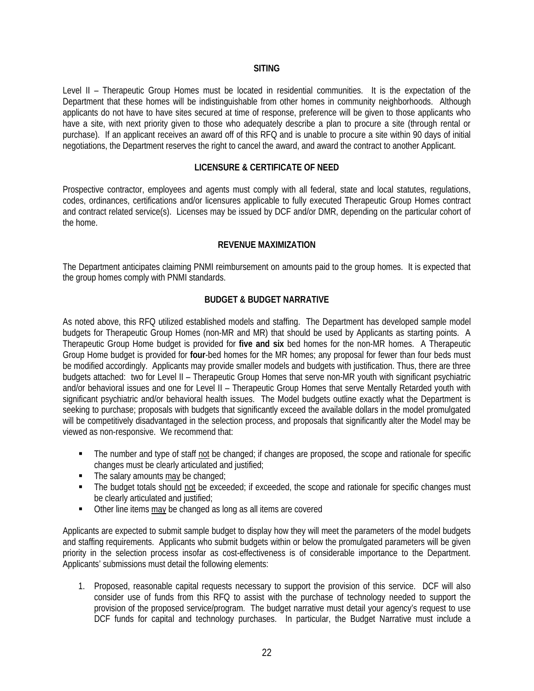#### **SITING**

Level II – Therapeutic Group Homes must be located in residential communities. It is the expectation of the Department that these homes will be indistinguishable from other homes in community neighborhoods. Although applicants do not have to have sites secured at time of response, preference will be given to those applicants who have a site, with next priority given to those who adequately describe a plan to procure a site (through rental or purchase). If an applicant receives an award off of this RFQ and is unable to procure a site within 90 days of initial negotiations, the Department reserves the right to cancel the award, and award the contract to another Applicant.

#### **LICENSURE & CERTIFICATE OF NEED**

Prospective contractor, employees and agents must comply with all federal, state and local statutes, regulations, codes, ordinances, certifications and/or licensures applicable to fully executed Therapeutic Group Homes contract and contract related service(s). Licenses may be issued by DCF and/or DMR, depending on the particular cohort of the home.

#### **REVENUE MAXIMIZATION**

The Department anticipates claiming PNMI reimbursement on amounts paid to the group homes. It is expected that the group homes comply with PNMI standards.

#### **BUDGET & BUDGET NARRATIVE**

As noted above, this RFQ utilized established models and staffing. The Department has developed sample model budgets for Therapeutic Group Homes (non-MR and MR) that should be used by Applicants as starting points. A Therapeutic Group Home budget is provided for **five and six** bed homes for the non-MR homes. A Therapeutic Group Home budget is provided for **four**-bed homes for the MR homes; any proposal for fewer than four beds must be modified accordingly. Applicants may provide smaller models and budgets with justification. Thus, there are three budgets attached: two for Level II – Therapeutic Group Homes that serve non-MR youth with significant psychiatric and/or behavioral issues and one for Level II – Therapeutic Group Homes that serve Mentally Retarded youth with significant psychiatric and/or behavioral health issues. The Model budgets outline exactly what the Department is seeking to purchase; proposals with budgets that significantly exceed the available dollars in the model promulgated will be competitively disadvantaged in the selection process, and proposals that significantly alter the Model may be viewed as non-responsive. We recommend that:

- The number and type of staff not be changed; if changes are proposed, the scope and rationale for specific changes must be clearly articulated and justified;
- The salary amounts may be changed;
- The budget totals should not be exceeded; if exceeded, the scope and rationale for specific changes must be clearly articulated and justified;
- Other line items may be changed as long as all items are covered

Applicants are expected to submit sample budget to display how they will meet the parameters of the model budgets and staffing requirements. Applicants who submit budgets within or below the promulgated parameters will be given priority in the selection process insofar as cost-effectiveness is of considerable importance to the Department. Applicants' submissions must detail the following elements:

1. Proposed, reasonable capital requests necessary to support the provision of this service. DCF will also consider use of funds from this RFQ to assist with the purchase of technology needed to support the provision of the proposed service/program. The budget narrative must detail your agency's request to use DCF funds for capital and technology purchases. In particular, the Budget Narrative must include a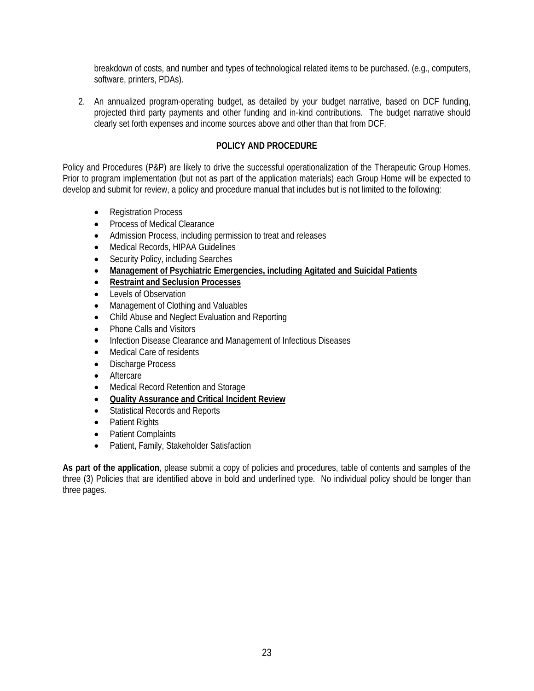breakdown of costs, and number and types of technological related items to be purchased. (e.g., computers, software, printers, PDAs).

2. An annualized program-operating budget, as detailed by your budget narrative, based on DCF funding, projected third party payments and other funding and in-kind contributions. The budget narrative should clearly set forth expenses and income sources above and other than that from DCF.

#### **POLICY AND PROCEDURE**

Policy and Procedures (P&P) are likely to drive the successful operationalization of the Therapeutic Group Homes. Prior to program implementation (but not as part of the application materials) each Group Home will be expected to develop and submit for review, a policy and procedure manual that includes but is not limited to the following:

- Registration Process
- Process of Medical Clearance
- Admission Process, including permission to treat and releases
- Medical Records, HIPAA Guidelines
- Security Policy, including Searches
- **Management of Psychiatric Emergencies, including Agitated and Suicidal Patients**
- **Restraint and Seclusion Processes**
- Levels of Observation
- Management of Clothing and Valuables
- Child Abuse and Neglect Evaluation and Reporting
- Phone Calls and Visitors
- Infection Disease Clearance and Management of Infectious Diseases
- Medical Care of residents
- Discharge Process
- Aftercare
- Medical Record Retention and Storage
- **Quality Assurance and Critical Incident Review**
- Statistical Records and Reports
- Patient Rights
- Patient Complaints
- Patient, Family, Stakeholder Satisfaction

**As part of the application**, please submit a copy of policies and procedures, table of contents and samples of the three (3) Policies that are identified above in bold and underlined type. No individual policy should be longer than three pages.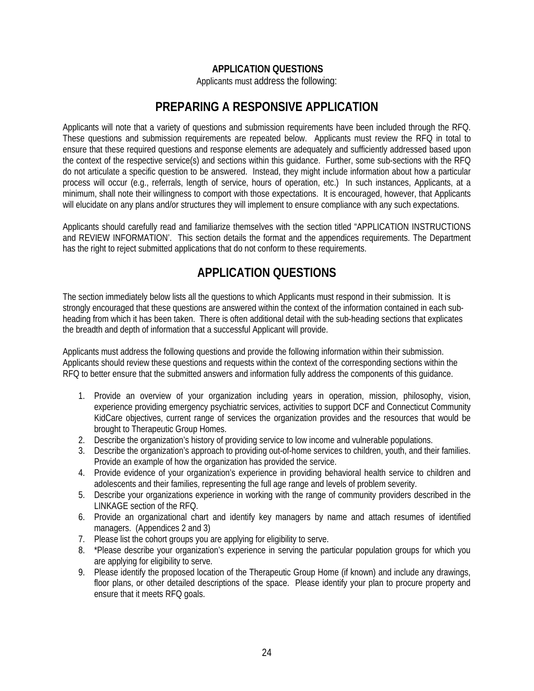#### **APPLICATION QUESTIONS**

Applicants must address the following:

### **PREPARING A RESPONSIVE APPLICATION**

Applicants will note that a variety of questions and submission requirements have been included through the RFQ. These questions and submission requirements are repeated below. Applicants must review the RFQ in total to ensure that these required questions and response elements are adequately and sufficiently addressed based upon the context of the respective service(s) and sections within this guidance. Further, some sub-sections with the RFQ do not articulate a specific question to be answered. Instead, they might include information about how a particular process will occur (e.g., referrals, length of service, hours of operation, etc.) In such instances, Applicants, at a minimum, shall note their willingness to comport with those expectations. It is encouraged, however, that Applicants will elucidate on any plans and/or structures they will implement to ensure compliance with any such expectations.

Applicants should carefully read and familiarize themselves with the section titled "APPLICATION INSTRUCTIONS and REVIEW INFORMATION'. This section details the format and the appendices requirements. The Department has the right to reject submitted applications that do not conform to these requirements.

## **APPLICATION QUESTIONS**

The section immediately below lists all the questions to which Applicants must respond in their submission. It is strongly encouraged that these questions are answered within the context of the information contained in each subheading from which it has been taken. There is often additional detail with the sub-heading sections that explicates the breadth and depth of information that a successful Applicant will provide.

Applicants must address the following questions and provide the following information within their submission. Applicants should review these questions and requests within the context of the corresponding sections within the RFQ to better ensure that the submitted answers and information fully address the components of this guidance.

- 1. Provide an overview of your organization including years in operation, mission, philosophy, vision, experience providing emergency psychiatric services, activities to support DCF and Connecticut Community KidCare objectives, current range of services the organization provides and the resources that would be brought to Therapeutic Group Homes.
- 2. Describe the organization's history of providing service to low income and vulnerable populations.
- 3. Describe the organization's approach to providing out-of-home services to children, youth, and their families. Provide an example of how the organization has provided the service.
- 4. Provide evidence of your organization's experience in providing behavioral health service to children and adolescents and their families, representing the full age range and levels of problem severity.
- 5. Describe your organizations experience in working with the range of community providers described in the LINKAGE section of the RFQ.
- 6. Provide an organizational chart and identify key managers by name and attach resumes of identified managers. (Appendices 2 and 3)
- 7. Please list the cohort groups you are applying for eligibility to serve.
- 8. \*Please describe your organization's experience in serving the particular population groups for which you are applying for eligibility to serve.
- 9. Please identify the proposed location of the Therapeutic Group Home (if known) and include any drawings, floor plans, or other detailed descriptions of the space. Please identify your plan to procure property and ensure that it meets RFQ goals.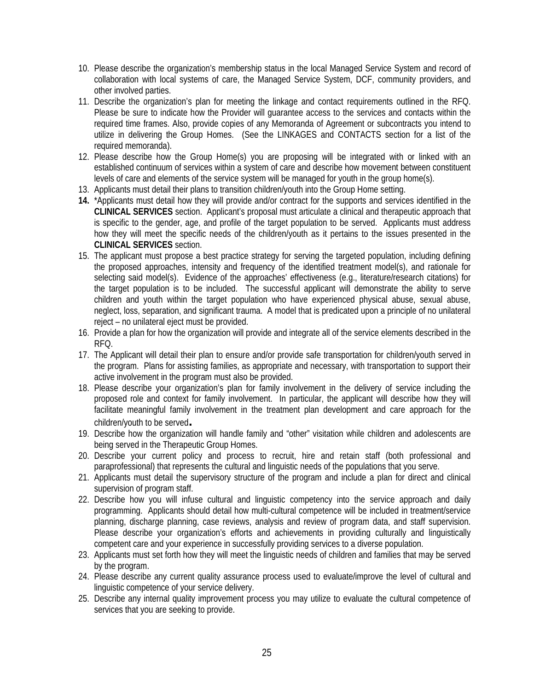- 10. Please describe the organization's membership status in the local Managed Service System and record of collaboration with local systems of care, the Managed Service System, DCF, community providers, and other involved parties.
- 11. Describe the organization's plan for meeting the linkage and contact requirements outlined in the RFQ. Please be sure to indicate how the Provider will guarantee access to the services and contacts within the required time frames. Also, provide copies of any Memoranda of Agreement or subcontracts you intend to utilize in delivering the Group Homes. (See the LINKAGES and CONTACTS section for a list of the required memoranda).
- 12. Please describe how the Group Home(s) you are proposing will be integrated with or linked with an established continuum of services within a system of care and describe how movement between constituent levels of care and elements of the service system will be managed for youth in the group home(s).
- 13. Applicants must detail their plans to transition children/youth into the Group Home setting.
- **14.** \*Applicants must detail how they will provide and/or contract for the supports and services identified in the **CLINICAL SERVICES** section. Applicant's proposal must articulate a clinical and therapeutic approach that is specific to the gender, age, and profile of the target population to be served. Applicants must address how they will meet the specific needs of the children/youth as it pertains to the issues presented in the **CLINICAL SERVICES** section.
- 15. The applicant must propose a best practice strategy for serving the targeted population, including defining the proposed approaches, intensity and frequency of the identified treatment model(s), and rationale for selecting said model(s). Evidence of the approaches' effectiveness (e.g., literature/research citations) for the target population is to be included. The successful applicant will demonstrate the ability to serve children and youth within the target population who have experienced physical abuse, sexual abuse, neglect, loss, separation, and significant trauma. A model that is predicated upon a principle of no unilateral reject – no unilateral eject must be provided.
- 16. Provide a plan for how the organization will provide and integrate all of the service elements described in the RFQ.
- 17. The Applicant will detail their plan to ensure and/or provide safe transportation for children/youth served in the program. Plans for assisting families, as appropriate and necessary, with transportation to support their active involvement in the program must also be provided.
- 18. Please describe your organization's plan for family involvement in the delivery of service including the proposed role and context for family involvement. In particular, the applicant will describe how they will facilitate meaningful family involvement in the treatment plan development and care approach for the children/youth to be served**.**
- 19. Describe how the organization will handle family and "other" visitation while children and adolescents are being served in the Therapeutic Group Homes.
- 20. Describe your current policy and process to recruit, hire and retain staff (both professional and paraprofessional) that represents the cultural and linguistic needs of the populations that you serve.
- 21. Applicants must detail the supervisory structure of the program and include a plan for direct and clinical supervision of program staff.
- 22. Describe how you will infuse cultural and linguistic competency into the service approach and daily programming. Applicants should detail how multi-cultural competence will be included in treatment/service planning, discharge planning, case reviews, analysis and review of program data, and staff supervision. Please describe your organization's efforts and achievements in providing culturally and linguistically competent care and your experience in successfully providing services to a diverse population.
- 23. Applicants must set forth how they will meet the linguistic needs of children and families that may be served by the program.
- 24. Please describe any current quality assurance process used to evaluate/improve the level of cultural and linguistic competence of your service delivery.
- 25. Describe any internal quality improvement process you may utilize to evaluate the cultural competence of services that you are seeking to provide.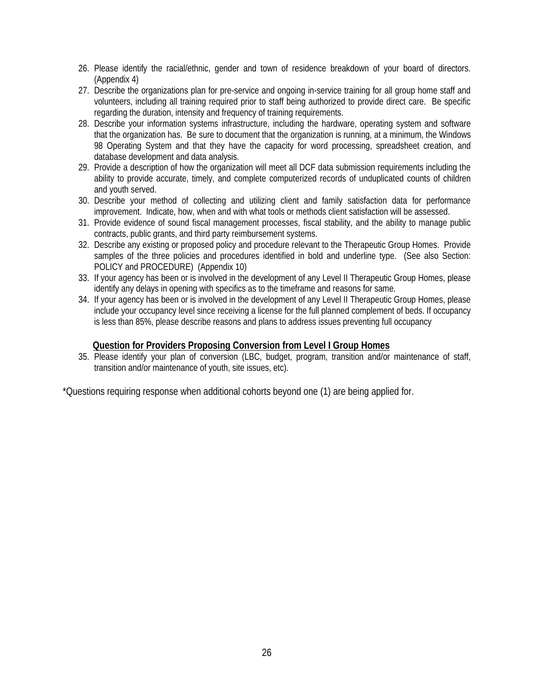- 26. Please identify the racial/ethnic, gender and town of residence breakdown of your board of directors. (Appendix 4)
- 27. Describe the organizations plan for pre-service and ongoing in-service training for all group home staff and volunteers, including all training required prior to staff being authorized to provide direct care. Be specific regarding the duration, intensity and frequency of training requirements.
- 28. Describe your information systems infrastructure, including the hardware, operating system and software that the organization has. Be sure to document that the organization is running, at a minimum, the Windows 98 Operating System and that they have the capacity for word processing, spreadsheet creation, and database development and data analysis.
- 29. Provide a description of how the organization will meet all DCF data submission requirements including the ability to provide accurate, timely, and complete computerized records of unduplicated counts of children and youth served.
- 30. Describe your method of collecting and utilizing client and family satisfaction data for performance improvement. Indicate, how, when and with what tools or methods client satisfaction will be assessed.
- 31. Provide evidence of sound fiscal management processes, fiscal stability, and the ability to manage public contracts, public grants, and third party reimbursement systems.
- 32. Describe any existing or proposed policy and procedure relevant to the Therapeutic Group Homes. Provide samples of the three policies and procedures identified in bold and underline type. (See also Section: POLICY and PROCEDURE) (Appendix 10)
- 33. If your agency has been or is involved in the development of any Level II Therapeutic Group Homes, please identify any delays in opening with specifics as to the timeframe and reasons for same.
- 34. If your agency has been or is involved in the development of any Level II Therapeutic Group Homes, please include your occupancy level since receiving a license for the full planned complement of beds. If occupancy is less than 85%, please describe reasons and plans to address issues preventing full occupancy

#### **Question for Providers Proposing Conversion from Level I Group Homes**

35. Please identify your plan of conversion (LBC, budget, program, transition and/or maintenance of staff, transition and/or maintenance of youth, site issues, etc).

\*Questions requiring response when additional cohorts beyond one (1) are being applied for.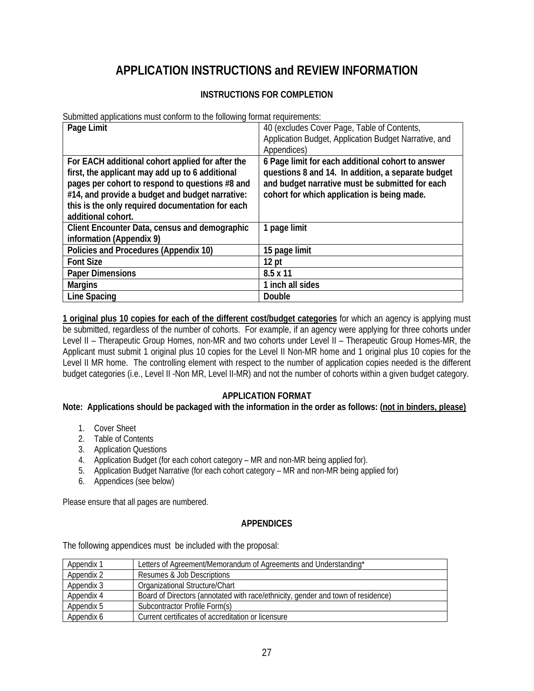## **APPLICATION INSTRUCTIONS and REVIEW INFORMATION**

#### **INSTRUCTIONS FOR COMPLETION**

Submitted applications must conform to the following format requirements:

| Page Limit                                                                                                                                                                                                                                                                          | 40 (excludes Cover Page, Table of Contents,<br>Application Budget, Application Budget Narrative, and<br>Appendices)                                                                                       |
|-------------------------------------------------------------------------------------------------------------------------------------------------------------------------------------------------------------------------------------------------------------------------------------|-----------------------------------------------------------------------------------------------------------------------------------------------------------------------------------------------------------|
| For EACH additional cohort applied for after the<br>first, the applicant may add up to 6 additional<br>pages per cohort to respond to questions #8 and<br>#14, and provide a budget and budget narrative:<br>this is the only required documentation for each<br>additional cohort. | 6 Page limit for each additional cohort to answer<br>questions 8 and 14. In addition, a separate budget<br>and budget narrative must be submitted for each<br>cohort for which application is being made. |
| Client Encounter Data, census and demographic<br>information (Appendix 9)                                                                                                                                                                                                           | 1 page limit                                                                                                                                                                                              |
| Policies and Procedures (Appendix 10)                                                                                                                                                                                                                                               | 15 page limit                                                                                                                                                                                             |
| <b>Font Size</b>                                                                                                                                                                                                                                                                    | 12 <sub>pt</sub>                                                                                                                                                                                          |
| <b>Paper Dimensions</b>                                                                                                                                                                                                                                                             | 8.5 x 11                                                                                                                                                                                                  |
| <b>Margins</b>                                                                                                                                                                                                                                                                      | 1 inch all sides                                                                                                                                                                                          |
| <b>Line Spacing</b>                                                                                                                                                                                                                                                                 | Double                                                                                                                                                                                                    |

**1 original plus 10 copies for each of the different cost/budget categories** for which an agency is applying must be submitted, regardless of the number of cohorts. For example, if an agency were applying for three cohorts under Level II – Therapeutic Group Homes, non-MR and two cohorts under Level II – Therapeutic Group Homes-MR, the Applicant must submit 1 original plus 10 copies for the Level II Non-MR home and 1 original plus 10 copies for the Level II MR home. The controlling element with respect to the number of application copies needed is the different budget categories (i.e., Level II -Non MR, Level II-MR) and not the number of cohorts within a given budget category.

#### **APPLICATION FORMAT**

**Note: Applications should be packaged with the information in the order as follows: (not in binders, please)**

- 1. Cover Sheet
- 2. Table of Contents
- 3. Application Questions
- 4. Application Budget (for each cohort category MR and non-MR being applied for).
- 5. Application Budget Narrative (for each cohort category MR and non-MR being applied for)
- 6. Appendices (see below)

Please ensure that all pages are numbered.

#### **APPENDICES**

The following appendices must be included with the proposal:

| Appendix 1 | Letters of Agreement/Memorandum of Agreements and Understanding*                 |
|------------|----------------------------------------------------------------------------------|
| Appendix 2 | Resumes & Job Descriptions                                                       |
| Appendix 3 | Organizational Structure/Chart                                                   |
| Appendix 4 | Board of Directors (annotated with race/ethnicity, gender and town of residence) |
| Appendix 5 | Subcontractor Profile Form(s)                                                    |
| Appendix 6 | Current certificates of accreditation or licensure                               |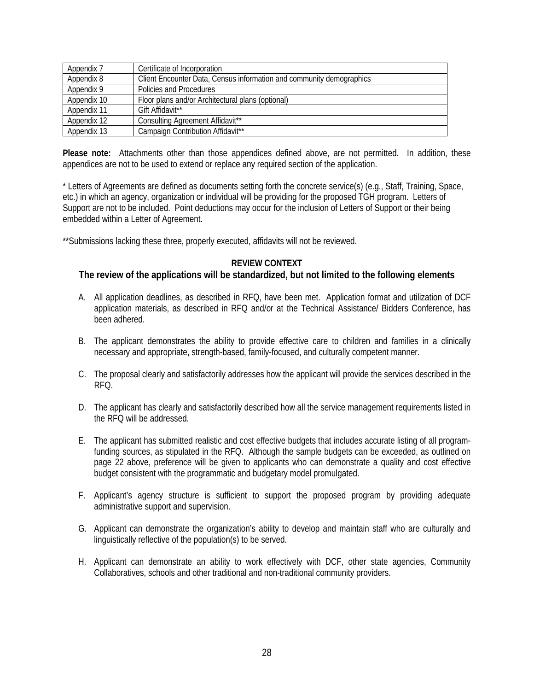| Appendix 7  | Certificate of Incorporation                                         |
|-------------|----------------------------------------------------------------------|
| Appendix 8  | Client Encounter Data, Census information and community demographics |
| Appendix 9  | Policies and Procedures                                              |
| Appendix 10 | Floor plans and/or Architectural plans (optional)                    |
| Appendix 11 | Gift Affidavit <sup>**</sup>                                         |
| Appendix 12 | Consulting Agreement Affidavit <sup>**</sup>                         |
| Appendix 13 | Campaign Contribution Affidavit <sup>**</sup>                        |

**Please note:** Attachments other than those appendices defined above, are not permitted. In addition, these appendices are not to be used to extend or replace any required section of the application.

\* Letters of Agreements are defined as documents setting forth the concrete service(s) (e.g., Staff, Training, Space, etc.) in which an agency, organization or individual will be providing for the proposed TGH program. Letters of Support are not to be included. Point deductions may occur for the inclusion of Letters of Support or their being embedded within a Letter of Agreement.

\*\*Submissions lacking these three, properly executed, affidavits will not be reviewed.

#### **REVIEW CONTEXT**

#### **The review of the applications will be standardized, but not limited to the following elements**

- A. All application deadlines, as described in RFQ, have been met. Application format and utilization of DCF application materials, as described in RFQ and/or at the Technical Assistance/ Bidders Conference, has been adhered.
- B. The applicant demonstrates the ability to provide effective care to children and families in a clinically necessary and appropriate, strength-based, family-focused, and culturally competent manner.
- C. The proposal clearly and satisfactorily addresses how the applicant will provide the services described in the RFQ.
- D. The applicant has clearly and satisfactorily described how all the service management requirements listed in the RFQ will be addressed.
- E. The applicant has submitted realistic and cost effective budgets that includes accurate listing of all programfunding sources, as stipulated in the RFQ. Although the sample budgets can be exceeded, as outlined on page 22 above, preference will be given to applicants who can demonstrate a quality and cost effective budget consistent with the programmatic and budgetary model promulgated.
- F. Applicant's agency structure is sufficient to support the proposed program by providing adequate administrative support and supervision.
- G. Applicant can demonstrate the organization's ability to develop and maintain staff who are culturally and linguistically reflective of the population(s) to be served.
- H. Applicant can demonstrate an ability to work effectively with DCF, other state agencies, Community Collaboratives, schools and other traditional and non-traditional community providers.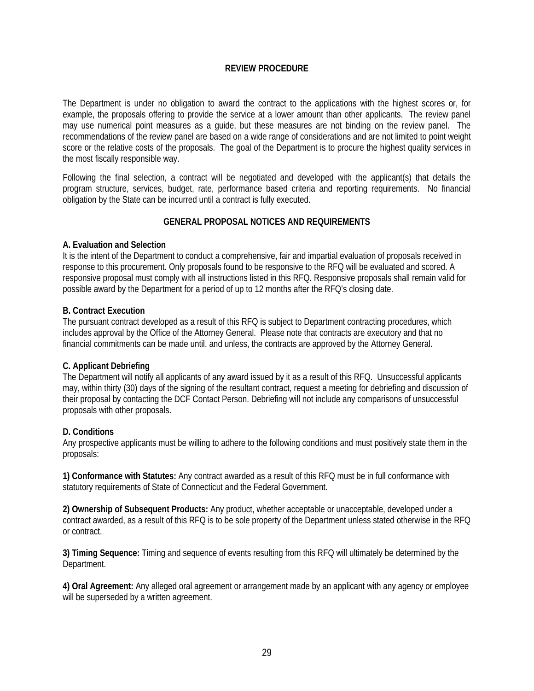#### **REVIEW PROCEDURE**

The Department is under no obligation to award the contract to the applications with the highest scores or, for example, the proposals offering to provide the service at a lower amount than other applicants. The review panel may use numerical point measures as a guide, but these measures are not binding on the review panel. The recommendations of the review panel are based on a wide range of considerations and are not limited to point weight score or the relative costs of the proposals. The goal of the Department is to procure the highest quality services in the most fiscally responsible way.

Following the final selection, a contract will be negotiated and developed with the applicant(s) that details the program structure, services, budget, rate, performance based criteria and reporting requirements. No financial obligation by the State can be incurred until a contract is fully executed.

#### **GENERAL PROPOSAL NOTICES AND REQUIREMENTS**

#### **A. Evaluation and Selection**

It is the intent of the Department to conduct a comprehensive, fair and impartial evaluation of proposals received in response to this procurement. Only proposals found to be responsive to the RFQ will be evaluated and scored. A responsive proposal must comply with all instructions listed in this RFQ. Responsive proposals shall remain valid for possible award by the Department for a period of up to 12 months after the RFQ's closing date.

#### **B. Contract Execution**

The pursuant contract developed as a result of this RFQ is subject to Department contracting procedures, which includes approval by the Office of the Attorney General. Please note that contracts are executory and that no financial commitments can be made until, and unless, the contracts are approved by the Attorney General.

#### **C. Applicant Debriefing**

The Department will notify all applicants of any award issued by it as a result of this RFQ. Unsuccessful applicants may, within thirty (30) days of the signing of the resultant contract, request a meeting for debriefing and discussion of their proposal by contacting the DCF Contact Person. Debriefing will not include any comparisons of unsuccessful proposals with other proposals.

#### **D. Conditions**

Any prospective applicants must be willing to adhere to the following conditions and must positively state them in the proposals:

**1) Conformance with Statutes:** Any contract awarded as a result of this RFQ must be in full conformance with statutory requirements of State of Connecticut and the Federal Government.

**2) Ownership of Subsequent Products:** Any product, whether acceptable or unacceptable, developed under a contract awarded, as a result of this RFQ is to be sole property of the Department unless stated otherwise in the RFQ or contract.

**3) Timing Sequence:** Timing and sequence of events resulting from this RFQ will ultimately be determined by the Department.

**4) Oral Agreement:** Any alleged oral agreement or arrangement made by an applicant with any agency or employee will be superseded by a written agreement.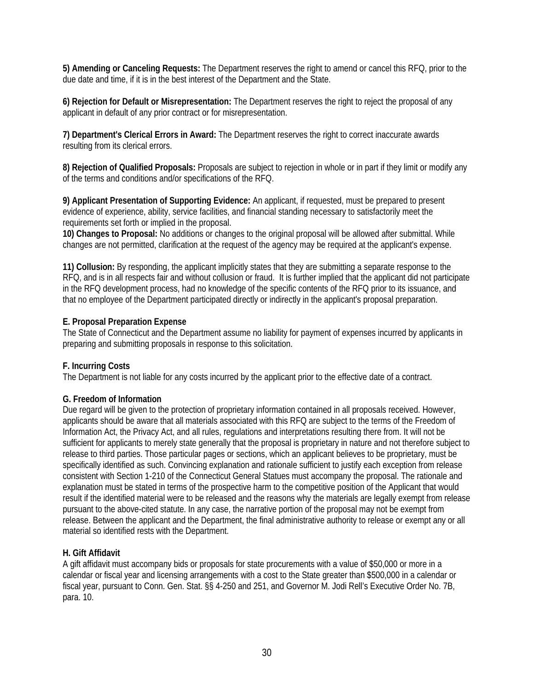**5) Amending or Canceling Requests:** The Department reserves the right to amend or cancel this RFQ, prior to the due date and time, if it is in the best interest of the Department and the State.

**6) Rejection for Default or Misrepresentation:** The Department reserves the right to reject the proposal of any applicant in default of any prior contract or for misrepresentation.

**7) Department's Clerical Errors in Award:** The Department reserves the right to correct inaccurate awards resulting from its clerical errors.

**8) Rejection of Qualified Proposals:** Proposals are subject to rejection in whole or in part if they limit or modify any of the terms and conditions and/or specifications of the RFQ.

**9) Applicant Presentation of Supporting Evidence:** An applicant, if requested, must be prepared to present evidence of experience, ability, service facilities, and financial standing necessary to satisfactorily meet the requirements set forth or implied in the proposal.

**10) Changes to Proposal:** No additions or changes to the original proposal will be allowed after submittal. While changes are not permitted, clarification at the request of the agency may be required at the applicant's expense.

**11) Collusion:** By responding, the applicant implicitly states that they are submitting a separate response to the RFQ, and is in all respects fair and without collusion or fraud. It is further implied that the applicant did not participate in the RFQ development process, had no knowledge of the specific contents of the RFQ prior to its issuance, and that no employee of the Department participated directly or indirectly in the applicant's proposal preparation.

#### **E. Proposal Preparation Expense**

The State of Connecticut and the Department assume no liability for payment of expenses incurred by applicants in preparing and submitting proposals in response to this solicitation.

#### **F. Incurring Costs**

The Department is not liable for any costs incurred by the applicant prior to the effective date of a contract.

#### **G. Freedom of Information**

Due regard will be given to the protection of proprietary information contained in all proposals received. However, applicants should be aware that all materials associated with this RFQ are subject to the terms of the Freedom of Information Act, the Privacy Act, and all rules, regulations and interpretations resulting there from. It will not be sufficient for applicants to merely state generally that the proposal is proprietary in nature and not therefore subject to release to third parties. Those particular pages or sections, which an applicant believes to be proprietary, must be specifically identified as such. Convincing explanation and rationale sufficient to justify each exception from release consistent with Section 1-210 of the Connecticut General Statues must accompany the proposal. The rationale and explanation must be stated in terms of the prospective harm to the competitive position of the Applicant that would result if the identified material were to be released and the reasons why the materials are legally exempt from release pursuant to the above-cited statute. In any case, the narrative portion of the proposal may not be exempt from release. Between the applicant and the Department, the final administrative authority to release or exempt any or all material so identified rests with the Department.

#### **H. Gift Affidavit**

A gift affidavit must accompany bids or proposals for state procurements with a value of \$50,000 or more in a calendar or fiscal year and licensing arrangements with a cost to the State greater than \$500,000 in a calendar or fiscal year, pursuant to Conn. Gen. Stat. §§ 4-250 and 251, and Governor M. Jodi Rell's Executive Order No. 7B, para. 10.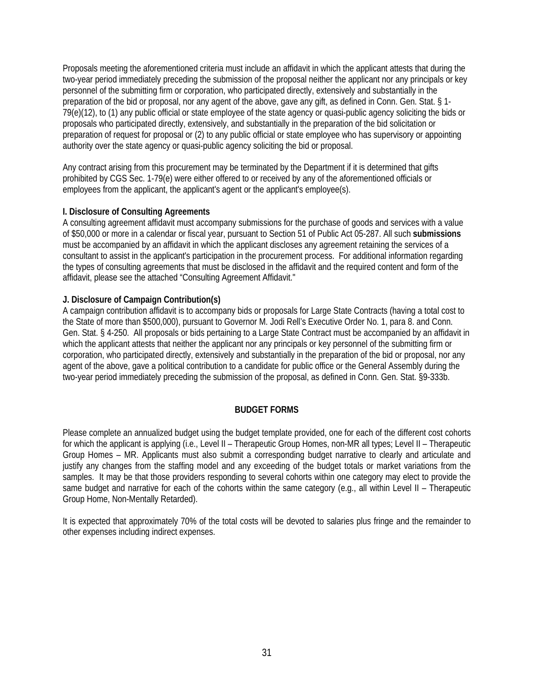Proposals meeting the aforementioned criteria must include an affidavit in which the applicant attests that during the two-year period immediately preceding the submission of the proposal neither the applicant nor any principals or key personnel of the submitting firm or corporation, who participated directly, extensively and substantially in the preparation of the bid or proposal, nor any agent of the above, gave any gift, as defined in Conn. Gen. Stat. § 1- 79(e)(12), to (1) any public official or state employee of the state agency or quasi-public agency soliciting the bids or proposals who participated directly, extensively, and substantially in the preparation of the bid solicitation or preparation of request for proposal or (2) to any public official or state employee who has supervisory or appointing authority over the state agency or quasi-public agency soliciting the bid or proposal.

Any contract arising from this procurement may be terminated by the Department if it is determined that gifts prohibited by CGS Sec. 1-79(e) were either offered to or received by any of the aforementioned officials or employees from the applicant, the applicant's agent or the applicant's employee(s).

#### **I. Disclosure of Consulting Agreements**

A consulting agreement affidavit must accompany submissions for the purchase of goods and services with a value of \$50,000 or more in a calendar or fiscal year, pursuant to Section 51 of Public Act 05-287. All such **submissions**  must be accompanied by an affidavit in which the applicant discloses any agreement retaining the services of a consultant to assist in the applicant's participation in the procurement process. For additional information regarding the types of consulting agreements that must be disclosed in the affidavit and the required content and form of the affidavit, please see the attached "Consulting Agreement Affidavit."

#### **J. Disclosure of Campaign Contribution(s)**

A campaign contribution affidavit is to accompany bids or proposals for Large State Contracts (having a total cost to the State of more than \$500,000), pursuant to Governor M. Jodi Rell's Executive Order No. 1, para 8. and Conn. Gen. Stat. § 4-250. All proposals or bids pertaining to a Large State Contract must be accompanied by an affidavit in which the applicant attests that neither the applicant nor any principals or key personnel of the submitting firm or corporation, who participated directly, extensively and substantially in the preparation of the bid or proposal, nor any agent of the above, gave a political contribution to a candidate for public office or the General Assembly during the two-year period immediately preceding the submission of the proposal, as defined in Conn. Gen. Stat. §9-333b.

#### **BUDGET FORMS**

Please complete an annualized budget using the budget template provided, one for each of the different cost cohorts for which the applicant is applying (i.e., Level II – Therapeutic Group Homes, non-MR all types; Level II – Therapeutic Group Homes – MR. Applicants must also submit a corresponding budget narrative to clearly and articulate and justify any changes from the staffing model and any exceeding of the budget totals or market variations from the samples. It may be that those providers responding to several cohorts within one category may elect to provide the same budget and narrative for each of the cohorts within the same category (e.g., all within Level II – Therapeutic Group Home, Non-Mentally Retarded).

It is expected that approximately 70% of the total costs will be devoted to salaries plus fringe and the remainder to other expenses including indirect expenses.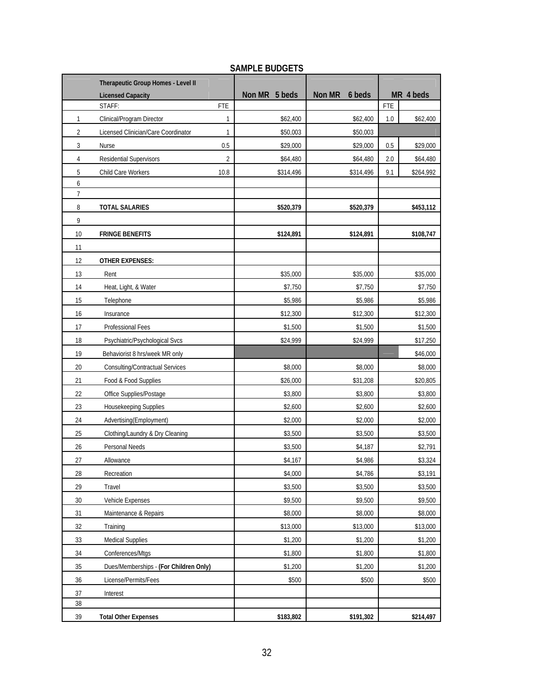|                | Therapeutic Group Homes - Level II     |            |                  |                  |         |           |
|----------------|----------------------------------------|------------|------------------|------------------|---------|-----------|
|                | <b>Licensed Capacity</b>               |            | Non MR<br>5 beds | Non MR<br>6 beds |         | MR 4 beds |
|                | STAFF:                                 | <b>FTE</b> |                  |                  | FTE     |           |
| 1              | Clinical/Program Director              | 1          | \$62,400         | \$62,400         | $1.0\,$ | \$62,400  |
| 2              | Licensed Clinician/Care Coordinator    | 1          | \$50,003         | \$50,003         |         |           |
| 3              | Nurse                                  | 0.5        | \$29,000         | \$29,000         | 0.5     | \$29,000  |
| 4              | Residential Supervisors                | 2          | \$64,480         | \$64,480         | 2.0     | \$64,480  |
| 5              | Child Care Workers                     | 10.8       | \$314,496        | \$314,496        | 9.1     | \$264,992 |
| 6              |                                        |            |                  |                  |         |           |
| $\overline{7}$ |                                        |            |                  |                  |         |           |
| 8<br>9         | <b>TOTAL SALARIES</b>                  |            | \$520,379        | \$520,379        |         | \$453,112 |
| 10             | <b>FRINGE BENEFITS</b>                 |            | \$124,891        | \$124,891        |         | \$108,747 |
| 11             |                                        |            |                  |                  |         |           |
| 12             | <b>OTHER EXPENSES:</b>                 |            |                  |                  |         |           |
| 13             | Rent                                   |            | \$35,000         | \$35,000         |         | \$35,000  |
| 14             | Heat, Light, & Water                   |            | \$7,750          | \$7,750          |         | \$7,750   |
| 15             | Telephone                              |            | \$5,986          | \$5,986          |         | \$5,986   |
| 16             | Insurance                              |            | \$12,300         | \$12,300         |         | \$12,300  |
| 17             | Professional Fees                      |            | \$1,500          | \$1,500          |         | \$1,500   |
| 18             | Psychiatric/Psychological Svcs         |            | \$24,999         | \$24,999         |         | \$17,250  |
| 19             | Behaviorist 8 hrs/week MR only         |            |                  |                  |         | \$46,000  |
| 20             | Consulting/Contractual Services        |            | \$8,000          | \$8,000          |         | \$8,000   |
| 21             | Food & Food Supplies                   |            | \$26,000         | \$31,208         |         | \$20,805  |
| 22             | Office Supplies/Postage                |            | \$3,800          | \$3,800          |         | \$3,800   |
| 23             | Housekeeping Supplies                  |            | \$2,600          | \$2,600          |         | \$2,600   |
| 24             | Advertising(Employment)                |            | \$2,000          | \$2,000          |         | \$2,000   |
| 25             | Clothing/Laundry & Dry Cleaning        |            | \$3,500          | \$3,500          |         | \$3,500   |
| 26             | Personal Needs                         |            | \$3,500          | \$4,187          |         | \$2,791   |
| 27             | Allowance                              |            | \$4,167          | \$4,986          |         | \$3,324   |
| 28             | Recreation                             |            | \$4,000          | \$4,786          |         | \$3,191   |
| 29             | Travel                                 |            | \$3,500          | \$3,500          |         | \$3,500   |
| 30             | Vehicle Expenses                       |            | \$9,500          | \$9,500          |         | \$9,500   |
| 31             | Maintenance & Repairs                  |            | \$8,000          | \$8,000          |         | \$8,000   |
| 32             | Training                               |            | \$13,000         | \$13,000         |         | \$13,000  |
| 33             | <b>Medical Supplies</b>                |            | \$1,200          | \$1,200          |         | \$1,200   |
| 34             | Conferences/Mtgs                       |            | \$1,800          | \$1,800          |         | \$1,800   |
| 35             | Dues/Memberships - (For Children Only) |            | \$1,200          | \$1,200          |         | \$1,200   |
| 36             | License/Permits/Fees                   |            | \$500            | \$500            |         | \$500     |
| 37             | Interest                               |            |                  |                  |         |           |
| 38             |                                        |            |                  |                  |         |           |
| 39             | <b>Total Other Expenses</b>            |            | \$183,802        | \$191,302        |         | \$214,497 |

#### **SAMPLE BUDGETS**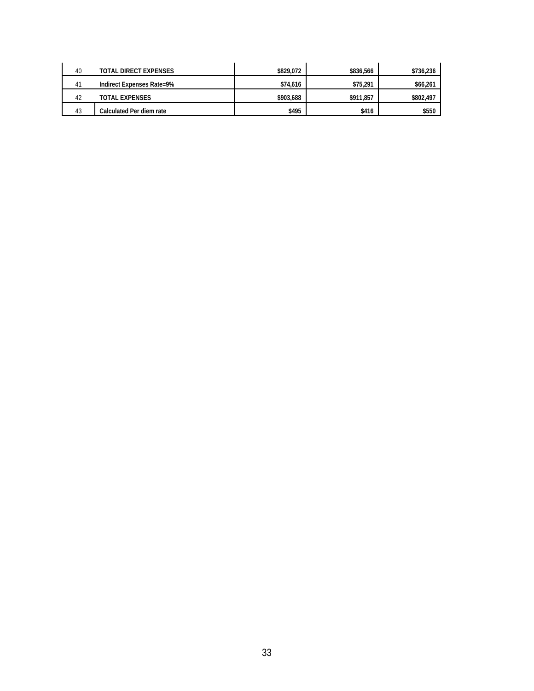| 40 | TOTAL DIRECT EXPENSES            | \$829,072 | \$836.566 | \$736,236 |
|----|----------------------------------|-----------|-----------|-----------|
| 41 | <b>Indirect Expenses Rate=9%</b> | \$74,616  | \$75,291  | \$66,261  |
| 42 | TOTAL EXPENSES                   | \$903,688 | \$911.857 | \$802,497 |
| 43 | Calculated Per diem rate         | \$495     | \$416     | \$550     |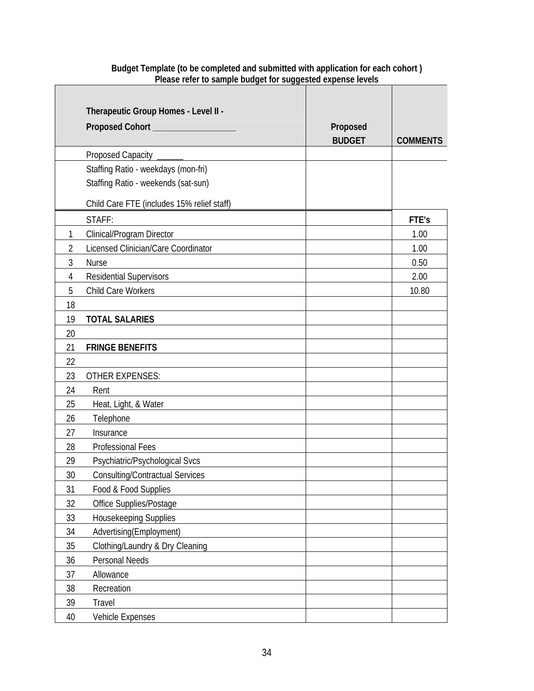|              | Therapeutic Group Homes - Level II -       |               |                 |
|--------------|--------------------------------------------|---------------|-----------------|
|              |                                            | Proposed      |                 |
|              |                                            | <b>BUDGET</b> | <b>COMMENTS</b> |
|              | Proposed Capacity                          |               |                 |
|              | Staffing Ratio - weekdays (mon-fri)        |               |                 |
|              | Staffing Ratio - weekends (sat-sun)        |               |                 |
|              | Child Care FTE (includes 15% relief staff) |               |                 |
|              | STAFF:                                     |               | FTE's           |
| $\mathbf{1}$ | Clinical/Program Director                  |               | 1.00            |
| 2            | Licensed Clinician/Care Coordinator        |               | 1.00            |
| 3            | <b>Nurse</b>                               |               | 0.50            |
| 4            | <b>Residential Supervisors</b>             |               | 2.00            |
| 5            | Child Care Workers                         |               | 10.80           |
| 18           |                                            |               |                 |
| 19           | <b>TOTAL SALARIES</b>                      |               |                 |
| 20           |                                            |               |                 |
| 21           | <b>FRINGE BENEFITS</b>                     |               |                 |
| 22           |                                            |               |                 |
| 23           | <b>OTHER EXPENSES:</b>                     |               |                 |
| 24           | Rent                                       |               |                 |
| 25           | Heat, Light, & Water                       |               |                 |
| 26           | Telephone                                  |               |                 |
| 27           | Insurance                                  |               |                 |
| 28           | <b>Professional Fees</b>                   |               |                 |
| 29           | Psychiatric/Psychological Svcs             |               |                 |
| 30           | <b>Consulting/Contractual Services</b>     |               |                 |
| 31           | Food & Food Supplies                       |               |                 |
| 32           | Office Supplies/Postage                    |               |                 |
| 33           | Housekeeping Supplies                      |               |                 |
| 34           | Advertising(Employment)                    |               |                 |
| 35           | Clothing/Laundry & Dry Cleaning            |               |                 |
| 36           | Personal Needs                             |               |                 |
| 37           | Allowance                                  |               |                 |
| 38           | Recreation                                 |               |                 |
| 39           | Travel                                     |               |                 |
| 40           | Vehicle Expenses                           |               |                 |

#### **Budget Template (to be completed and submitted with application for each cohort ) Please refer to sample budget for suggested expense levels**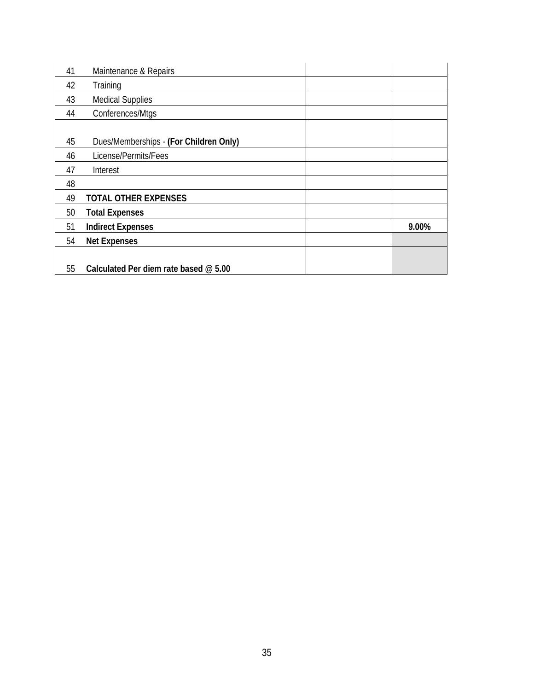| 41 | Maintenance & Repairs                  |       |
|----|----------------------------------------|-------|
| 42 | Training                               |       |
| 43 | <b>Medical Supplies</b>                |       |
| 44 | Conferences/Mtgs                       |       |
|    |                                        |       |
| 45 | Dues/Memberships - (For Children Only) |       |
| 46 | License/Permits/Fees                   |       |
| 47 | Interest                               |       |
| 48 |                                        |       |
| 49 | <b>TOTAL OTHER EXPENSES</b>            |       |
| 50 | <b>Total Expenses</b>                  |       |
| 51 | <b>Indirect Expenses</b>               | 9.00% |
| 54 | <b>Net Expenses</b>                    |       |
|    |                                        |       |
| 55 | Calculated Per diem rate based @ 5.00  |       |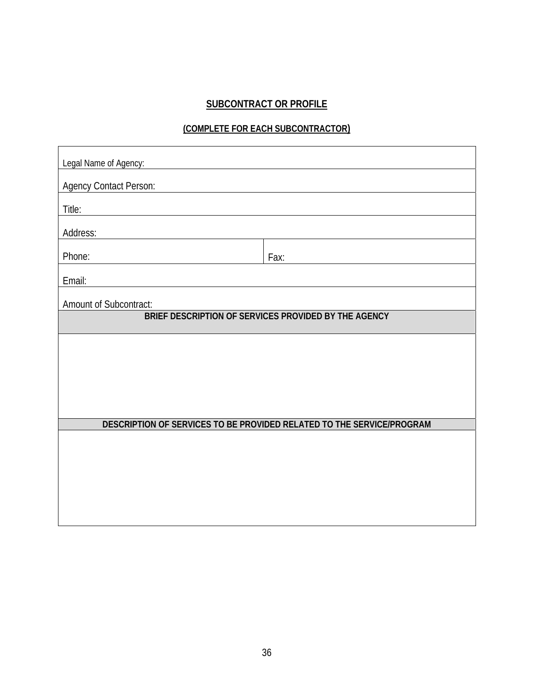### **SUBCONTRACT OR PROFILE**

#### **(COMPLETE FOR EACH SUBCONTRACTOR)**

| Legal Name of Agency:         |                                                                       |
|-------------------------------|-----------------------------------------------------------------------|
| <b>Agency Contact Person:</b> |                                                                       |
| Title:                        |                                                                       |
| Address:                      |                                                                       |
| Phone:                        | Fax:                                                                  |
| Email:                        |                                                                       |
| Amount of Subcontract:        |                                                                       |
|                               | BRIEF DESCRIPTION OF SERVICES PROVIDED BY THE AGENCY                  |
|                               |                                                                       |
|                               |                                                                       |
|                               |                                                                       |
|                               |                                                                       |
|                               | DESCRIPTION OF SERVICES TO BE PROVIDED RELATED TO THE SERVICE/PROGRAM |
|                               |                                                                       |
|                               |                                                                       |
|                               |                                                                       |
|                               |                                                                       |
|                               |                                                                       |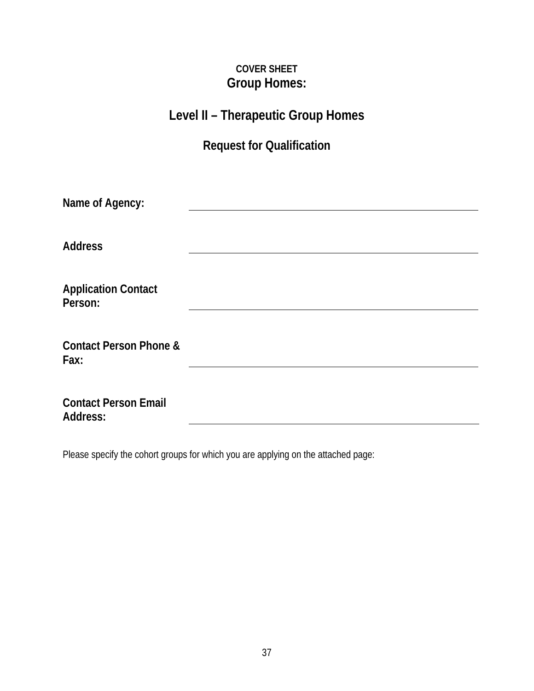## **COVER SHEET Group Homes:**

## **Level II – Therapeutic Group Homes**

## **Request for Qualification**

| Name of Agency:                                |  |
|------------------------------------------------|--|
|                                                |  |
| <b>Address</b>                                 |  |
|                                                |  |
| <b>Application Contact</b><br>Person:          |  |
|                                                |  |
| <b>Contact Person Phone &amp;</b><br>Fax:      |  |
|                                                |  |
| <b>Contact Person Email</b><br><b>Address:</b> |  |

Please specify the cohort groups for which you are applying on the attached page: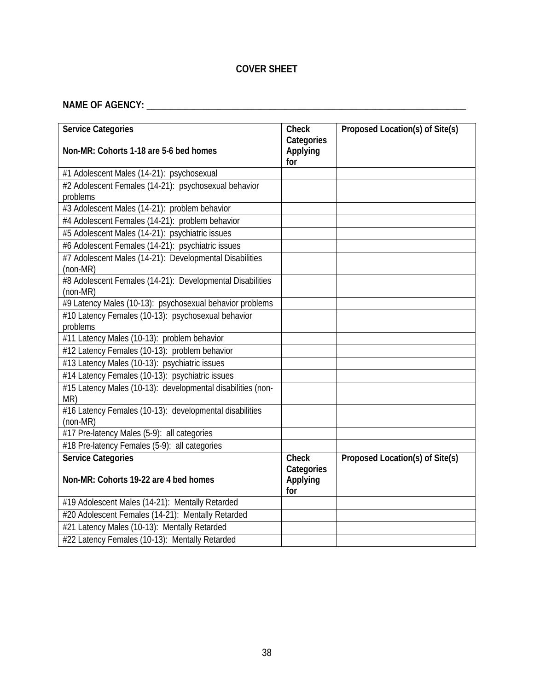### **COVER SHEET**

## **NAME OF AGENCY: \_\_\_\_\_\_\_\_\_\_\_\_\_\_\_\_\_\_\_\_\_\_\_\_\_\_\_\_\_\_\_\_\_\_\_\_\_\_\_\_\_\_\_\_\_\_\_\_\_\_\_\_\_\_\_\_\_\_\_\_\_\_\_\_\_\_\_**

| <b>Service Categories</b>                                          | <b>Check</b>    | Proposed Location(s) of Site(s) |
|--------------------------------------------------------------------|-----------------|---------------------------------|
|                                                                    | Categories      |                                 |
| Non-MR: Cohorts 1-18 are 5-6 bed homes                             | Applying<br>for |                                 |
| #1 Adolescent Males (14-21): psychosexual                          |                 |                                 |
| #2 Adolescent Females (14-21): psychosexual behavior               |                 |                                 |
| problems                                                           |                 |                                 |
| #3 Adolescent Males (14-21): problem behavior                      |                 |                                 |
| #4 Adolescent Females (14-21): problem behavior                    |                 |                                 |
| #5 Adolescent Males (14-21): psychiatric issues                    |                 |                                 |
| #6 Adolescent Females (14-21): psychiatric issues                  |                 |                                 |
| #7 Adolescent Males (14-21): Developmental Disabilities            |                 |                                 |
| (non-MR)                                                           |                 |                                 |
| #8 Adolescent Females (14-21): Developmental Disabilities          |                 |                                 |
| (non-MR)                                                           |                 |                                 |
| #9 Latency Males (10-13): psychosexual behavior problems           |                 |                                 |
| #10 Latency Females (10-13): psychosexual behavior                 |                 |                                 |
| problems                                                           |                 |                                 |
| #11 Latency Males (10-13): problem behavior                        |                 |                                 |
| #12 Latency Females (10-13): problem behavior                      |                 |                                 |
| #13 Latency Males (10-13): psychiatric issues                      |                 |                                 |
| #14 Latency Females (10-13): psychiatric issues                    |                 |                                 |
| #15 Latency Males (10-13): developmental disabilities (non-<br>MR) |                 |                                 |
| #16 Latency Females (10-13): developmental disabilities            |                 |                                 |
| (non-MR)                                                           |                 |                                 |
| #17 Pre-latency Males (5-9): all categories                        |                 |                                 |
| #18 Pre-latency Females (5-9): all categories                      |                 |                                 |
| <b>Service Categories</b>                                          | <b>Check</b>    | Proposed Location(s) of Site(s) |
|                                                                    | Categories      |                                 |
| Non-MR: Cohorts 19-22 are 4 bed homes                              | Applying<br>for |                                 |
| #19 Adolescent Males (14-21): Mentally Retarded                    |                 |                                 |
| #20 Adolescent Females (14-21): Mentally Retarded                  |                 |                                 |
| #21 Latency Males (10-13): Mentally Retarded                       |                 |                                 |
| #22 Latency Females (10-13): Mentally Retarded                     |                 |                                 |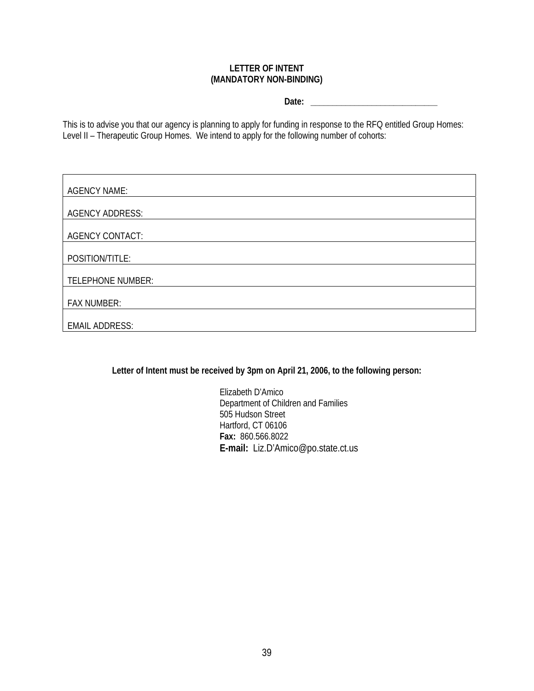#### **LETTER OF INTENT (MANDATORY NON-BINDING)**

**Date: \_\_\_\_\_\_\_\_\_\_\_\_\_\_\_\_\_\_\_\_\_\_\_\_\_\_\_\_\_** 

This is to advise you that our agency is planning to apply for funding in response to the RFQ entitled Group Homes: Level II – Therapeutic Group Homes. We intend to apply for the following number of cohorts:

| <b>AGENCY NAME:</b>      |
|--------------------------|
| <b>AGENCY ADDRESS:</b>   |
| <b>AGENCY CONTACT:</b>   |
| POSITION/TITLE:          |
| <b>TELEPHONE NUMBER:</b> |
| <b>FAX NUMBER:</b>       |
| <b>EMAIL ADDRESS:</b>    |

**Letter of Intent must be received by 3pm on April 21, 2006, to the following person:** 

Elizabeth D'Amico Department of Children and Families 505 Hudson Street Hartford, CT 06106 **Fax:** 860.566.8022 **E-mail:** Liz.D'Amico@po.state.ct.us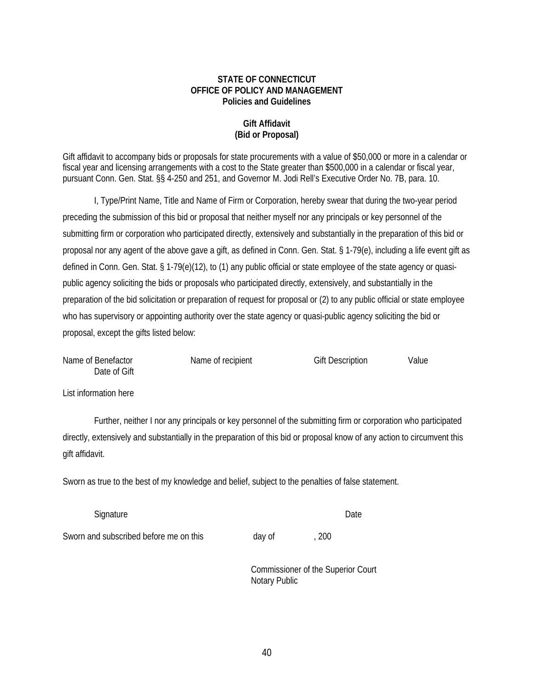#### **STATE OF CONNECTICUT OFFICE OF POLICY AND MANAGEMENT Policies and Guidelines**

#### **Gift Affidavit (Bid or Proposal)**

Gift affidavit to accompany bids or proposals for state procurements with a value of \$50,000 or more in a calendar or fiscal year and licensing arrangements with a cost to the State greater than \$500,000 in a calendar or fiscal year, pursuant Conn. Gen. Stat. §§ 4-250 and 251, and Governor M. Jodi Rell's Executive Order No. 7B, para. 10.

I, Type/Print Name, Title and Name of Firm or Corporation, hereby swear that during the two-year period preceding the submission of this bid or proposal that neither myself nor any principals or key personnel of the submitting firm or corporation who participated directly, extensively and substantially in the preparation of this bid or proposal nor any agent of the above gave a gift, as defined in Conn. Gen. Stat. § 1-79(e), including a life event gift as defined in Conn. Gen. Stat. § 1-79(e)(12), to (1) any public official or state employee of the state agency or quasipublic agency soliciting the bids or proposals who participated directly, extensively, and substantially in the preparation of the bid solicitation or preparation of request for proposal or (2) to any public official or state employee who has supervisory or appointing authority over the state agency or quasi-public agency soliciting the bid or proposal, except the gifts listed below:

| Name of Benefactor | Name of recipient | <b>Gift Description</b> | Value |
|--------------------|-------------------|-------------------------|-------|
| Date of Gift       |                   |                         |       |

List information here

 Further, neither I nor any principals or key personnel of the submitting firm or corporation who participated directly, extensively and substantially in the preparation of this bid or proposal know of any action to circumvent this gift affidavit.

Sworn as true to the best of my knowledge and belief, subject to the penalties of false statement.

| Signature                              |        |     | Date |
|----------------------------------------|--------|-----|------|
| Sworn and subscribed before me on this | day of | 200 |      |

 Commissioner of the Superior Court Notary Public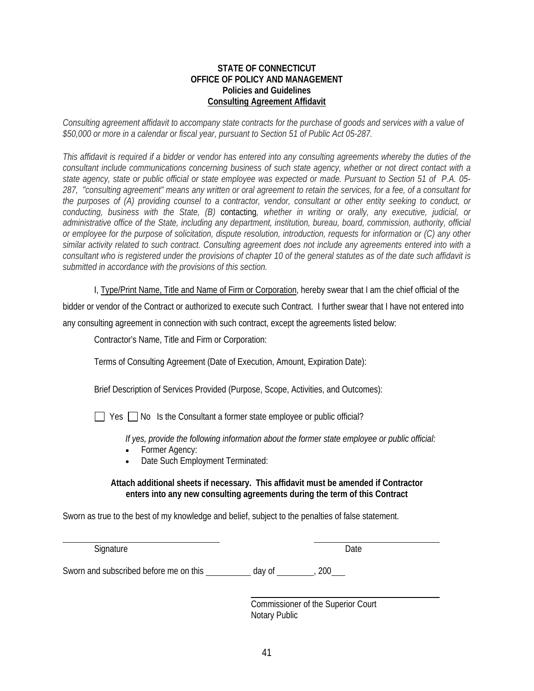#### **STATE OF CONNECTICUT OFFICE OF POLICY AND MANAGEMENT Policies and Guidelines Consulting Agreement Affidavit**

*Consulting agreement affidavit to accompany state contracts for the purchase of goods and services with a value of \$50,000 or more in a calendar or fiscal year, pursuant to Section 51 of Public Act 05-287.* 

*This affidavit is required if a bidder or vendor has entered into any consulting agreements whereby the duties of the consultant include communications concerning business of such state agency, whether or not direct contact with a state agency, state or public official or state employee was expected or made. Pursuant to Section 51 of P.A. 05- 287, "consulting agreement" means any written or oral agreement to retain the services, for a fee, of a consultant for the purposes of (A) providing counsel to a contractor, vendor, consultant or other entity seeking to conduct, or conducting, business with the State, (B)* contacting*, whether in writing or orally, any executive, judicial, or administrative office of the State, including any department, institution, bureau, board, commission, authority, official or employee for the purpose of solicitation, dispute resolution, introduction, requests for information or (C) any other similar activity related to such contract. Consulting agreement does not include any agreements entered into with a consultant who is registered under the provisions of chapter 10 of the general statutes as of the date such affidavit is submitted in accordance with the provisions of this section.* 

I, Type/Print Name, Title and Name of Firm or Corporation, hereby swear that I am the chief official of the

bidder or vendor of the Contract or authorized to execute such Contract. I further swear that I have not entered into any consulting agreement in connection with such contract, except the agreements listed below:

Contractor's Name, Title and Firm or Corporation:

Terms of Consulting Agreement (Date of Execution, Amount, Expiration Date):

Brief Description of Services Provided (Purpose, Scope, Activities, and Outcomes):

 $\Box$  Yes  $\Box$  No Is the Consultant a former state employee or public official?

*If yes, provide the following information about the former state employee or public official:* 

- Former Agency:
- Date Such Employment Terminated:

#### **Attach additional sheets if necessary. This affidavit must be amended if Contractor enters into any new consulting agreements during the term of this Contract**

Sworn as true to the best of my knowledge and belief, subject to the penalties of false statement.

Signature Date

l

Sworn and subscribed before me on this  $\frac{1}{2}$  day of  $\frac{1}{200}$ , 200

 Commissioner of the Superior Court Notary Public